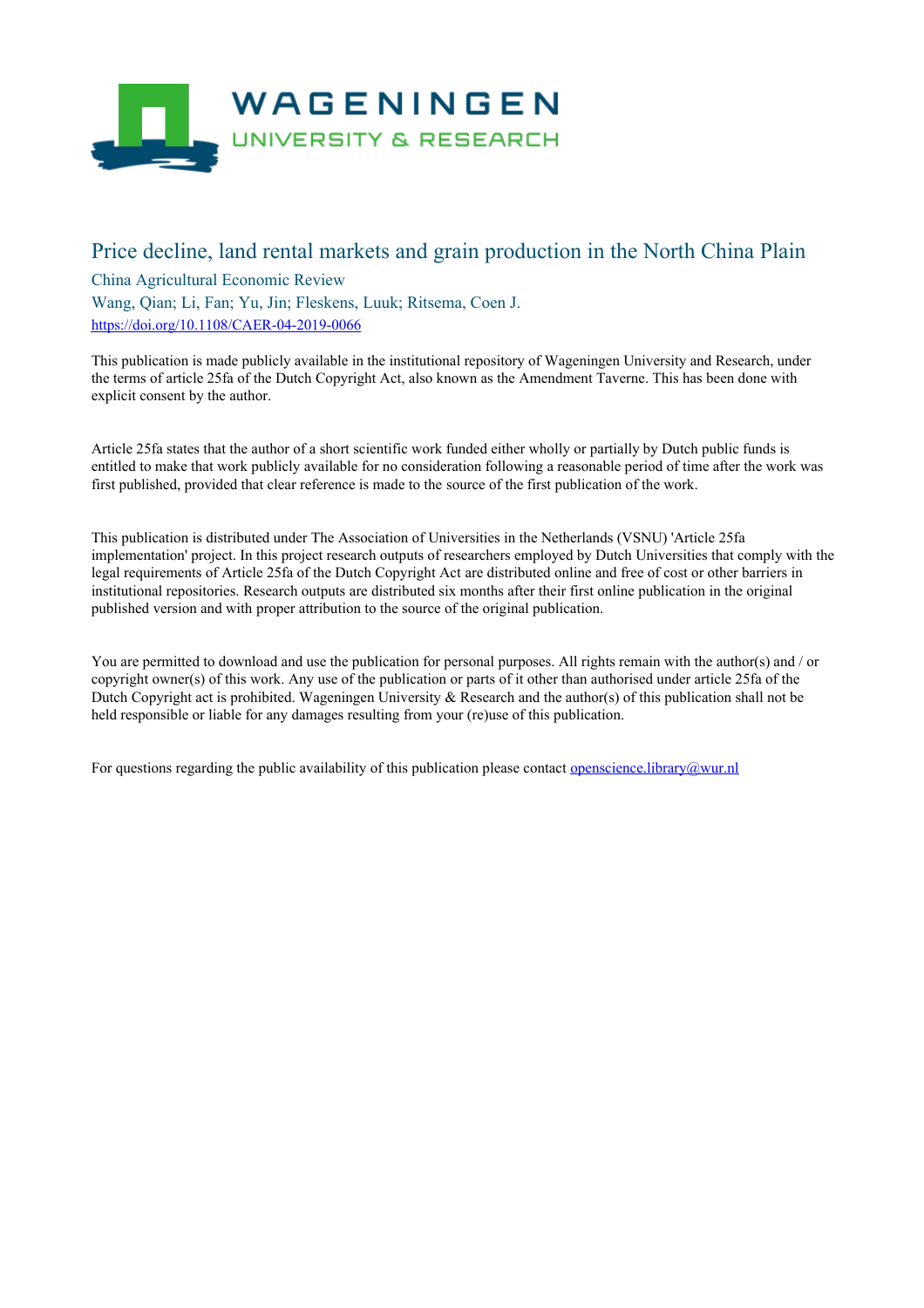

# Price decline, land rental markets and grain production in the North China Plain

China Agricultural Economic Review

Wang, Qian; Li, Fan; Yu, Jin; Fleskens, Luuk; Ritsema, Coen J. <https://doi.org/10.1108/CAER-04-2019-0066>

This publication is made publicly available in the institutional repository of Wageningen University and Research, under the terms of article 25fa of the Dutch Copyright Act, also known as the Amendment Taverne. This has been done with explicit consent by the author.

Article 25fa states that the author of a short scientific work funded either wholly or partially by Dutch public funds is entitled to make that work publicly available for no consideration following a reasonable period of time after the work was first published, provided that clear reference is made to the source of the first publication of the work.

This publication is distributed under The Association of Universities in the Netherlands (VSNU) 'Article 25fa implementation' project. In this project research outputs of researchers employed by Dutch Universities that comply with the legal requirements of Article 25fa of the Dutch Copyright Act are distributed online and free of cost or other barriers in institutional repositories. Research outputs are distributed six months after their first online publication in the original published version and with proper attribution to the source of the original publication.

You are permitted to download and use the publication for personal purposes. All rights remain with the author(s) and / or copyright owner(s) of this work. Any use of the publication or parts of it other than authorised under article 25fa of the Dutch Copyright act is prohibited. Wageningen University & Research and the author(s) of this publication shall not be held responsible or liable for any damages resulting from your (re)use of this publication.

For questions regarding the public availability of this publication please contact <u>[openscience.library@wur.nl](mailto:openscience.library@wur.nl)</u>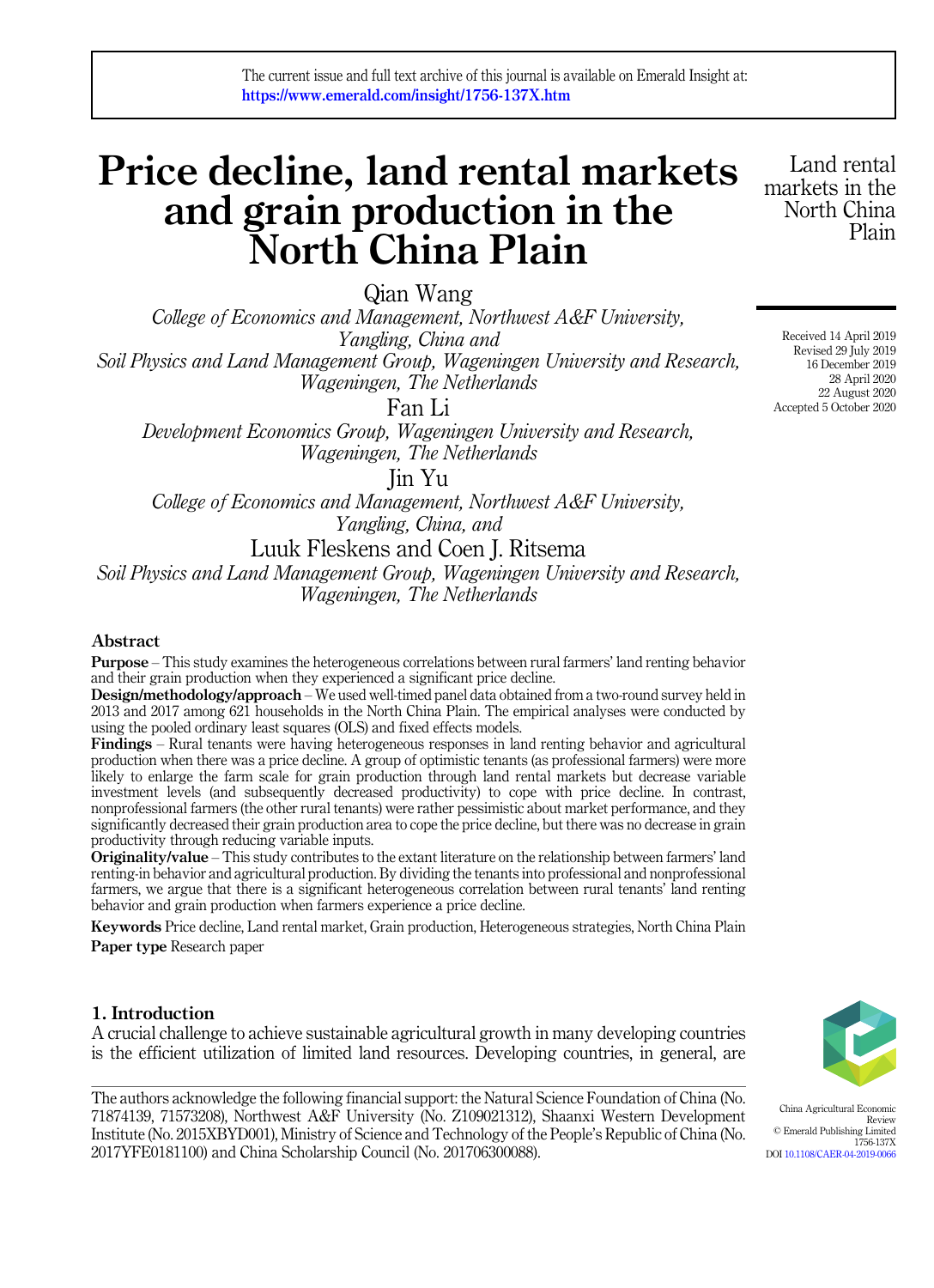# Price decline, land rental markets and grain production in the North China Plain

Qian Wang

College of Economics and Management, Northwest A&F University, Yangling, China and Soil Physics and Land Management Group, Wageningen University and Research, Wageningen, The Netherlands

Fan Li

Development Economics Group, Wageningen University and Research, Wageningen, The Netherlands

Jin Yu

College of Economics and Management, Northwest A&F University, Yangling, China, and

# Luuk Fleskens and Coen J. Ritsema

Soil Physics and Land Management Group, Wageningen University and Research, Wageningen, The Netherlands

# Abstract

Purpose – This study examines the heterogeneous correlations between rural farmers' land renting behavior and their grain production when they experienced a significant price decline.

Design/methodology/approach – We used well-timed panel data obtained from a two-round survey held in 2013 and 2017 among 621 households in the North China Plain. The empirical analyses were conducted by using the pooled ordinary least squares (OLS) and fixed effects models.

Findings – Rural tenants were having heterogeneous responses in land renting behavior and agricultural production when there was a price decline. A group of optimistic tenants (as professional farmers) were more likely to enlarge the farm scale for grain production through land rental markets but decrease variable investment levels (and subsequently decreased productivity) to cope with price decline. In contrast, nonprofessional farmers (the other rural tenants) were rather pessimistic about market performance, and they significantly decreased their grain production area to cope the price decline, but there was no decrease in grain productivity through reducing variable inputs.

Originality/value – This study contributes to the extant literature on the relationship between farmers' land renting-in behavior and agricultural production. By dividing the tenants into professional and nonprofessional farmers, we argue that there is a significant heterogeneous correlation between rural tenants' land renting behavior and grain production when farmers experience a price decline.

Keywords Price decline, Land rental market, Grain production, Heterogeneous strategies, North China Plain Paper type Research paper

# 1. Introduction

A crucial challenge to achieve sustainable agricultural growth in many developing countries is the efficient utilization of limited land resources. Developing countries, in general, are

The authors acknowledge the following financial support: the Natural Science Foundation of China (No. 71874139, 71573208), Northwest A&F University (No. Z109021312), Shaanxi Western Development Institute (No. 2015XBYD001), Ministry of Science and Technology of the People's Republic of China (No. 2017YFE0181100) and China Scholarship Council (No. 201706300088).



China Agricultural Economic Review © Emerald Publishing Limited 1756-137X DOI [10.1108/CAER-04-2019-0066](https://doi.org/10.1108/CAER-04-2019-0066)

Received 14 April 2019 Revised 29 July 2019 16 December 2019 28 April 2020 22 August 2020 Accepted 5 October 2020

Land rental markets in the North China

Plain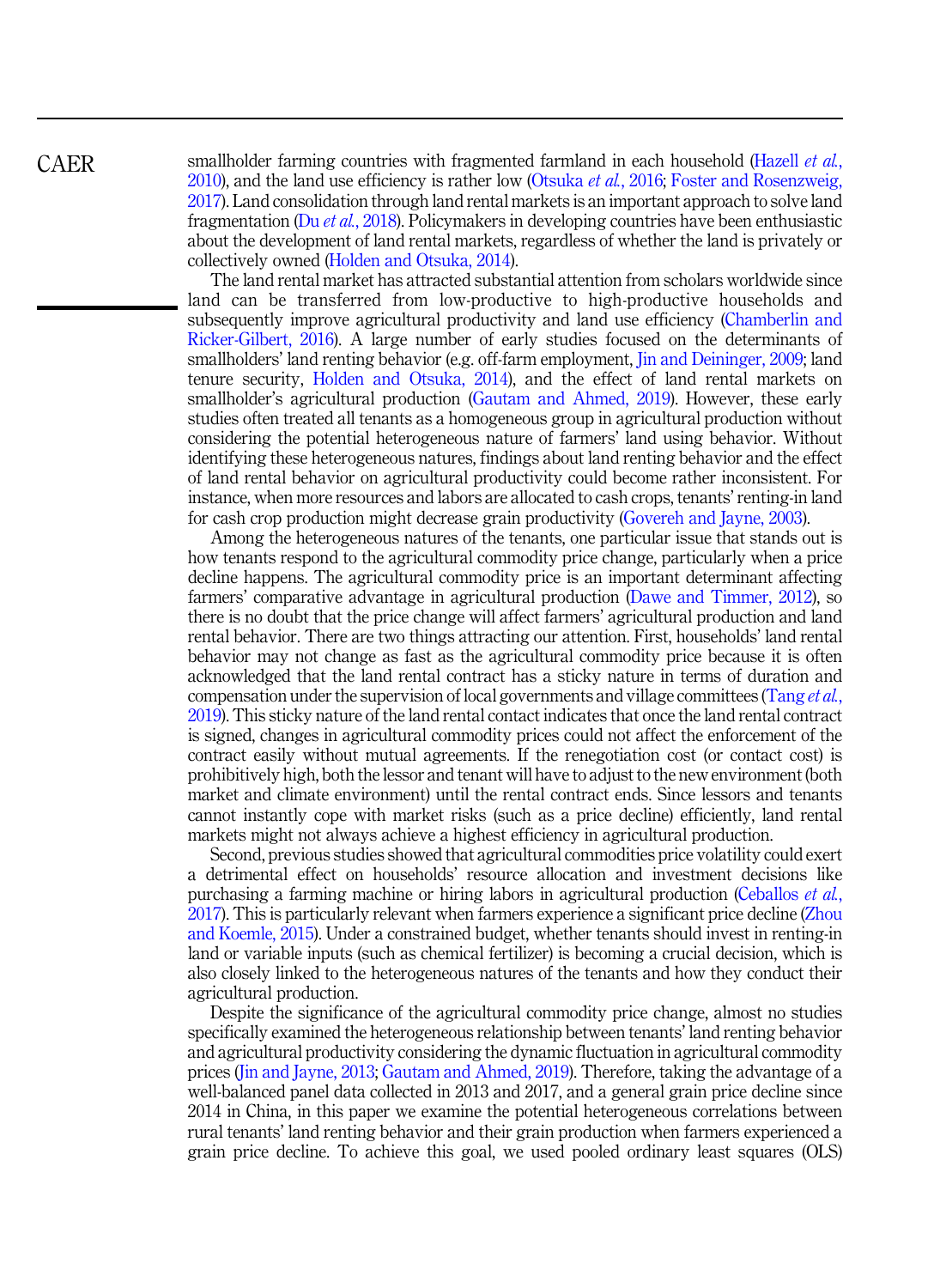smallholder farming countries with fragmented farmland in each household ([Hazell](#page-21-0) *et al.*, [2010\)](#page-21-0), and the land use efficiency is rather low ([Otsuka](#page-22-0) *et al.*, 2016; [Foster and Rosenzweig,](#page-21-0) [2017\)](#page-21-0). Land consolidation through land rental markets is an important approach to solve land fragmentation (Du *et al.*[, 2018\)](#page-21-0). Policymakers in developing countries have been enthusiastic about the development of land rental markets, regardless of whether the land is privately or collectively owned ([Holden and Otsuka, 2014\)](#page-21-0).

The land rental market has attracted substantial attention from scholars worldwide since land can be transferred from low-productive to high-productive households and subsequently improve agricultural productivity and land use efficiency [\(Chamberlin and](#page-20-0) [Ricker-Gilbert, 2016](#page-20-0)). A large number of early studies focused on the determinants of smallholders' land renting behavior (e.g. off-farm employment, [Jin and Deininger, 2009](#page-22-0); land tenure security, [Holden and Otsuka, 2014](#page-21-0)), and the effect of land rental markets on smallholder's agricultural production ([Gautam and Ahmed, 2019](#page-21-0)). However, these early studies often treated all tenants as a homogeneous group in agricultural production without considering the potential heterogeneous nature of farmers' land using behavior. Without identifying these heterogeneous natures, findings about land renting behavior and the effect of land rental behavior on agricultural productivity could become rather inconsistent. For instance, when more resources and labors are allocated to cash crops, tenants' renting-in land for cash crop production might decrease grain productivity ([Govereh and Jayne, 2003\)](#page-21-0).

Among the heterogeneous natures of the tenants, one particular issue that stands out is how tenants respond to the agricultural commodity price change, particularly when a price decline happens. The agricultural commodity price is an important determinant affecting farmers' comparative advantage in agricultural production [\(Dawe and Timmer, 2012](#page-21-0)), so there is no doubt that the price change will affect farmers' agricultural production and land rental behavior. There are two things attracting our attention. First, households' land rental behavior may not change as fast as the agricultural commodity price because it is often acknowledged that the land rental contract has a sticky nature in terms of duration and compensation under the supervision of local governments and village committees ([Tang](#page-23-0) et al., [2019\)](#page-23-0). This sticky nature of the land rental contact indicates that once the land rental contract is signed, changes in agricultural commodity prices could not affect the enforcement of the contract easily without mutual agreements. If the renegotiation cost (or contact cost) is prohibitively high, both the lessor and tenant will have to adjust to the new environment (both market and climate environment) until the rental contract ends. Since lessors and tenants cannot instantly cope with market risks (such as a price decline) efficiently, land rental markets might not always achieve a highest efficiency in agricultural production.

Second, previous studies showed that agricultural commodities price volatility could exert a detrimental effect on households' resource allocation and investment decisions like purchasing a farming machine or hiring labors in agricultural production [\(Ceballos](#page-20-0) *et al.*, [2017\)](#page-20-0). This is particularly relevant when farmers experience a significant price decline [\(Zhou](#page-23-0) [and Koemle, 2015\)](#page-23-0). Under a constrained budget, whether tenants should invest in renting-in land or variable inputs (such as chemical fertilizer) is becoming a crucial decision, which is also closely linked to the heterogeneous natures of the tenants and how they conduct their agricultural production.

Despite the significance of the agricultural commodity price change, almost no studies specifically examined the heterogeneous relationship between tenants' land renting behavior and agricultural productivity considering the dynamic fluctuation in agricultural commodity prices [\(Jin and Jayne, 2013](#page-22-0); [Gautam and Ahmed, 2019\)](#page-21-0). Therefore, taking the advantage of a well-balanced panel data collected in 2013 and 2017, and a general grain price decline since 2014 in China, in this paper we examine the potential heterogeneous correlations between rural tenants' land renting behavior and their grain production when farmers experienced a grain price decline. To achieve this goal, we used pooled ordinary least squares (OLS)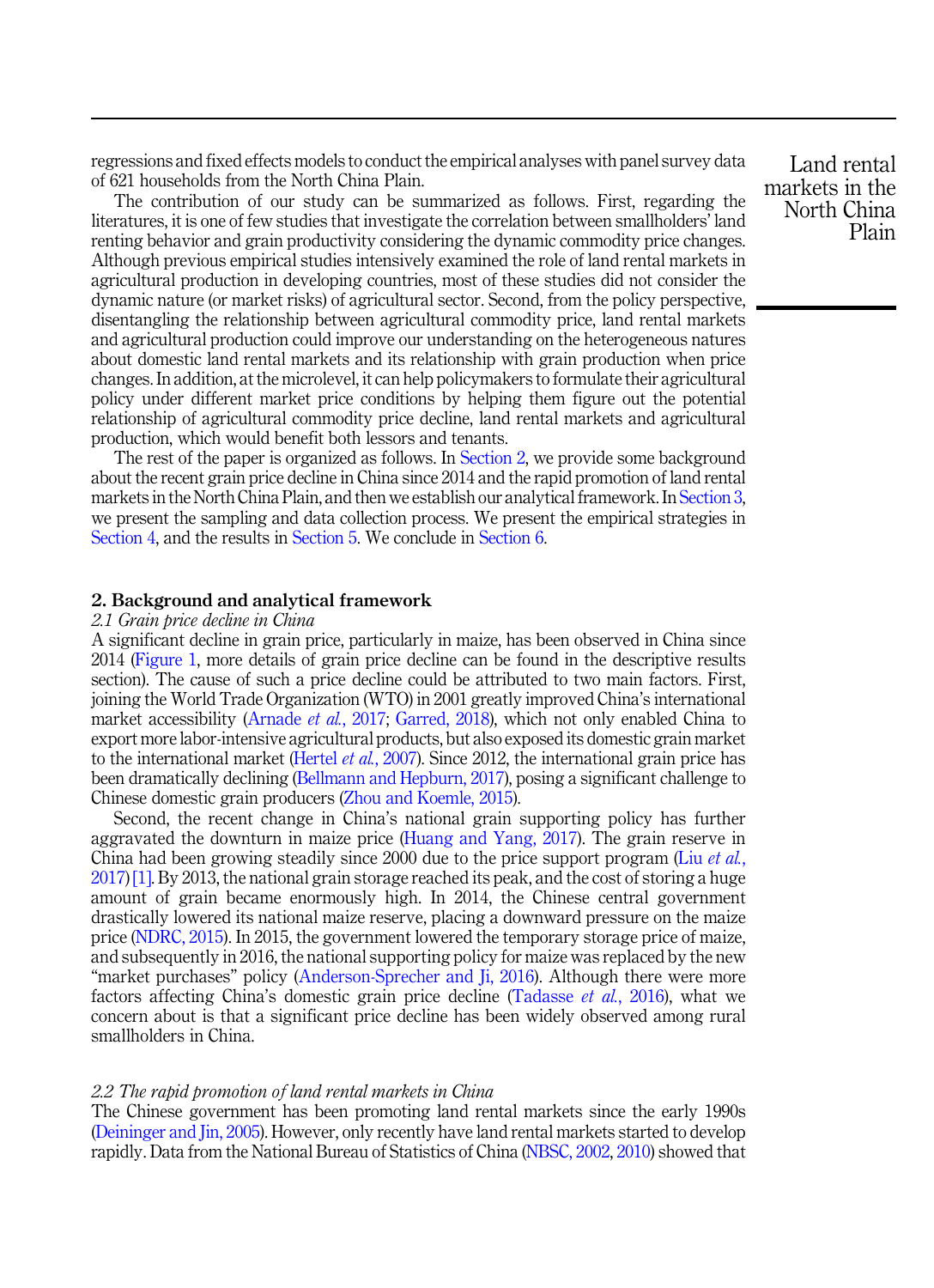<span id="page-3-0"></span>regressions and fixed effects models to conduct the empirical analyses with panel survey data of 621 households from the North China Plain.

The contribution of our study can be summarized as follows. First, regarding the literatures, it is one of few studies that investigate the correlation between smallholders' land renting behavior and grain productivity considering the dynamic commodity price changes. Although previous empirical studies intensively examined the role of land rental markets in agricultural production in developing countries, most of these studies did not consider the dynamic nature (or market risks) of agricultural sector. Second, from the policy perspective, disentangling the relationship between agricultural commodity price, land rental markets and agricultural production could improve our understanding on the heterogeneous natures about domestic land rental markets and its relationship with grain production when price changes. In addition, at the microlevel, it can help policymakers to formulate their agricultural policy under different market price conditions by helping them figure out the potential relationship of agricultural commodity price decline, land rental markets and agricultural production, which would benefit both lessors and tenants.

The rest of the paper is organized as follows. In Section 2, we provide some background about the recent grain price decline in China since 2014 and the rapid promotion of land rental markets in the North China Plain, and then we establish our analytical framework. In [Section 3](#page-7-0), we present the sampling and data collection process. We present the empirical strategies in [Section 4](#page-9-0), and the results in [Section 5.](#page-11-0) We conclude in [Section 6](#page-18-0).

#### 2. Background and analytical framework

#### 2.1 Grain price decline in China

A significant decline in grain price, particularly in maize, has been observed in China since 2014 [\(Figure 1](#page-4-0), more details of grain price decline can be found in the descriptive results section). The cause of such a price decline could be attributed to two main factors. First, joining the World Trade Organization (WTO) in 2001 greatly improved China's international market accessibility ([Arnade](#page-20-0) et al., 2017; [Garred, 2018\)](#page-21-0), which not only enabled China to export more labor-intensive agricultural products, but also exposed its domestic grain market to the international market [\(Hertel](#page-21-0) *et al.*, 2007). Since 2012, the international grain price has been dramatically declining ([Bellmann and Hepburn, 2017](#page-20-0)), posing a significant challenge to Chinese domestic grain producers ([Zhou and Koemle, 2015\)](#page-23-0).

Second, the recent change in China's national grain supporting policy has further aggravated the downturn in maize price ([Huang and Yang, 2017\)](#page-21-0). The grain reserve in China had been growing steadily since 2000 due to the price support program (Liu [et al.](#page-22-0), [2017](#page-22-0)) [\[1\].](#page-19-0) By 2013, the national grain storage reached its peak, and the cost of storing a huge amount of grain became enormously high. In 2014, the Chinese central government drastically lowered its national maize reserve, placing a downward pressure on the maize price ([NDRC, 2015](#page-22-0)). In 2015, the government lowered the temporary storage price of maize, and subsequently in 2016, the national supporting policy for maize was replaced by the new "market purchases" policy ([Anderson-Sprecher and Ji, 2016](#page-20-0)). Although there were more factors affecting China's domestic grain price decline ([Tadasse](#page-23-0) et al., 2016), what we concern about is that a significant price decline has been widely observed among rural smallholders in China.

#### 2.2 The rapid promotion of land rental markets in China

The Chinese government has been promoting land rental markets since the early 1990s ([Deininger and Jin, 2005](#page-21-0)). However, only recently have land rental markets started to develop rapidly. Data from the National Bureau of Statistics of China [\(NBSC, 2002](#page-22-0), [2010\)](#page-22-0) showed that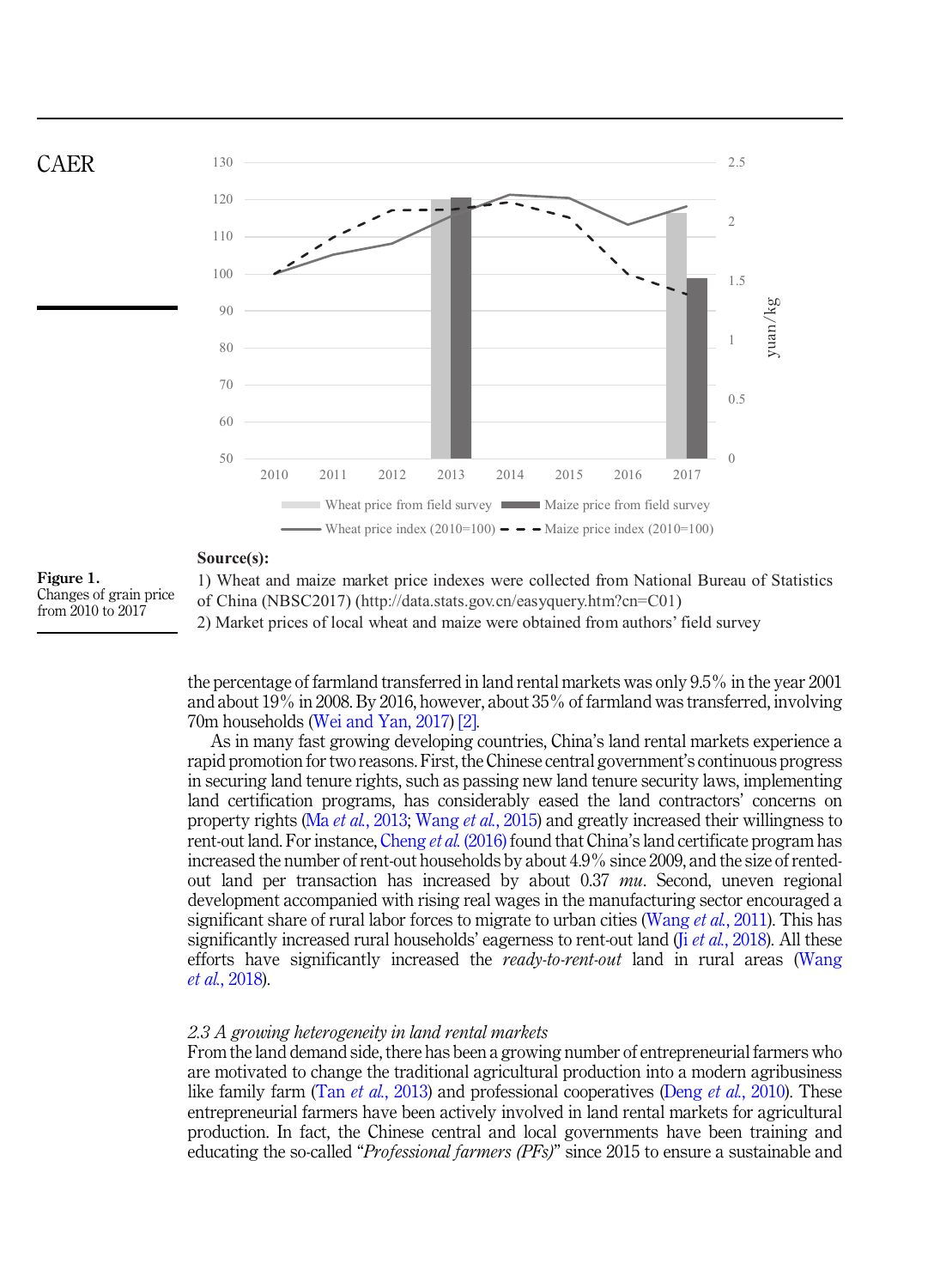<span id="page-4-0"></span>



## **Source(s):**

Figure 1. Changes of grain price from 2010 to 2017

1) Wheat and maize market price indexes were collected from National Bureau of Statistics of China (NBSC2017) (http://data.stats.gov.cn/easyquery.htm?cn=C01)

2) Market prices of local wheat and maize were obtained from authors' field survey

the percentage of farmland transferred in land rental markets was only 9.5% in the year 2001 and about 19% in 2008. By 2016, however, about 35% of farmland was transferred, involving 70m households [\(Wei and Yan, 2017\)](#page-23-0) [\[2\].](#page-19-0)

As in many fast growing developing countries, China's land rental markets experience a rapid promotion for two reasons. First, the Chinese central government's continuous progress in securing land tenure rights, such as passing new land tenure security laws, implementing land certification programs, has considerably eased the land contractors' concerns on property rights (Ma et al.[, 2013](#page-22-0); [Wang](#page-23-0) et al., 2015) and greatly increased their willingness to rent-out land. For instance, [Cheng](#page-21-0) et al. (2016) found that China's land certificate program has increased the number of rent-out households by about 4.9% since 2009, and the size of rentedout land per transaction has increased by about 0.37 mu. Second, uneven regional development accompanied with rising real wages in the manufacturing sector encouraged a significant share of rural labor forces to migrate to urban cities [\(Wang](#page-23-0) *et al.*, 2011). This has significantly increased rural households' eagerness to rent-out land ( $\overline{\text{li }et al.}$ [, 2018\)](#page-21-0). All these efforts have significantly increased the ready-to-rent-out land in rural areas ([Wang](#page-23-0) et al.[, 2018\)](#page-23-0).

## 2.3 A growing heterogeneity in land rental markets

From the land demand side, there has been a growing number of entrepreneurial farmers who are motivated to change the traditional agricultural production into a modern agribusiness like family farm (Tan *et al.*[, 2013](#page-23-0)) and professional cooperatives (Deng *et al.*[, 2010\)](#page-21-0). These entrepreneurial farmers have been actively involved in land rental markets for agricultural production. In fact, the Chinese central and local governments have been training and educating the so-called "Professional farmers (PFs)" since 2015 to ensure a sustainable and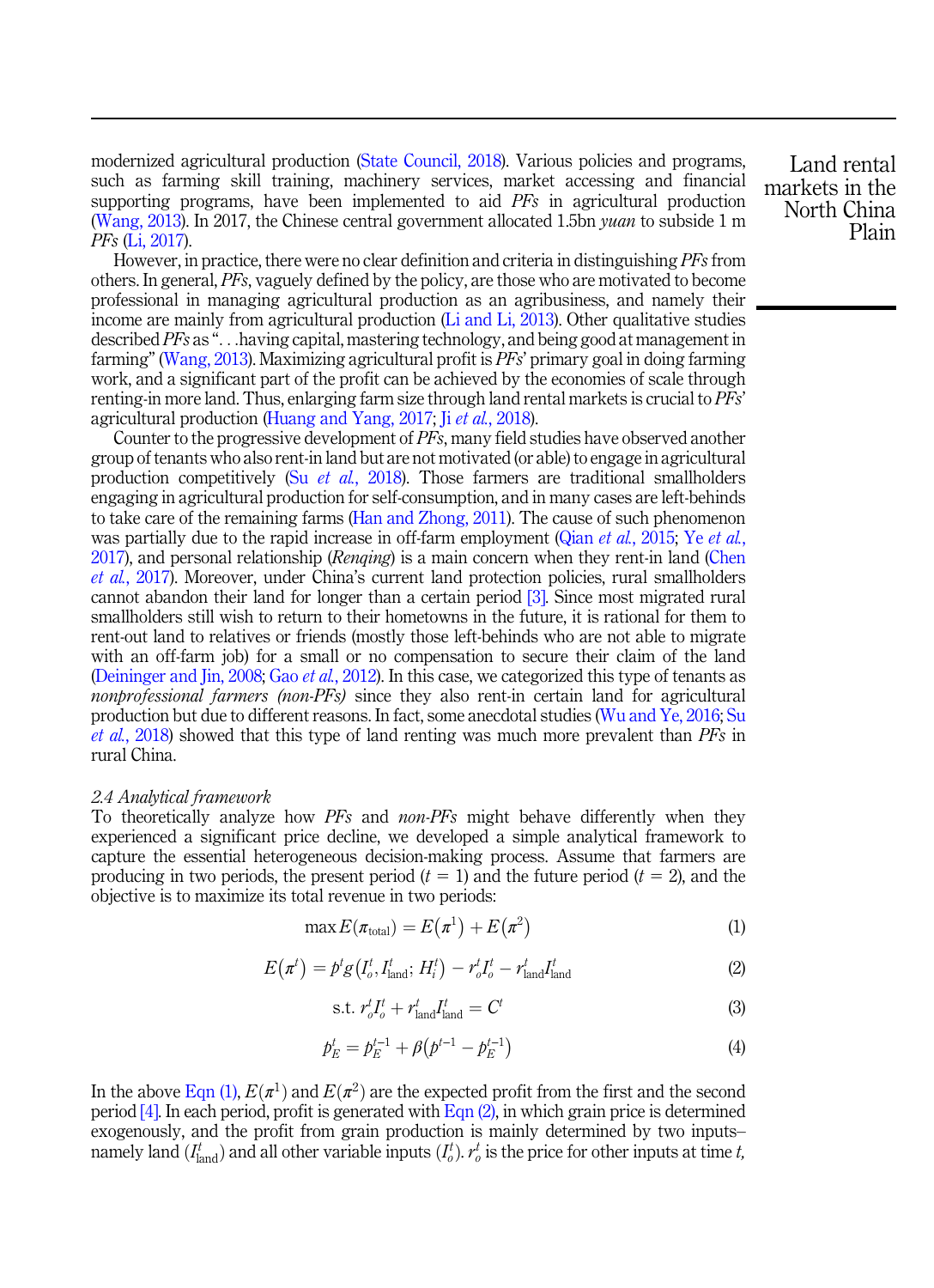<span id="page-5-0"></span>modernized agricultural production ([State Council, 2018\)](#page-22-0). Various policies and programs, such as farming skill training, machinery services, market accessing and financial supporting programs, have been implemented to aid PFs in agricultural production ([Wang, 2013\)](#page-23-0). In 2017, the Chinese central government allocated 1.5bn *yuan* to subside 1 m PFs [\(Li, 2017](#page-22-0)).

However, in practice, there were no clear definition and criteria in distinguishing PFs from others. In general, PFs, vaguely defined by the policy, are those who are motivated to become professional in managing agricultural production as an agribusiness, and namely their income are mainly from agricultural production [\(Li and Li, 2013\)](#page-22-0). Other qualitative studies described PFs as "...having capital, mastering technology, and being good at management in farming" [\(Wang, 2013](#page-23-0)). Maximizing agricultural profit is PFs' primary goal in doing farming work, and a significant part of the profit can be achieved by the economies of scale through renting-in more land. Thus, enlarging farm size through land rental markets is crucial to  $PFs'$ agricultural production [\(Huang and Yang, 2017;](#page-21-0) Ji et al.[, 2018](#page-21-0)).

Counter to the progressive development of PFs, many field studies have observed another group of tenants who also rent-in land but are not motivated (or able) to engage in agricultural production competitively (Su *et al.*[, 2018](#page-22-0)). Those farmers are traditional smallholders engaging in agricultural production for self-consumption, and in many cases are left-behinds to take care of the remaining farms [\(Han and Zhong, 2011\)](#page-21-0). The cause of such phenomenon was partially due to the rapid increase in off-farm employment (Qian et al.[, 2015;](#page-22-0) Ye [et al.](#page-23-0),  $2017$ ), and personal relationship (*Renging*) is a main concern when they rent-in land ([Chen](#page-21-0) et al.[, 2017\)](#page-21-0). Moreover, under China's current land protection policies, rural smallholders cannot abandon their land for longer than a certain period [\[3\]](#page-19-0). Since most migrated rural smallholders still wish to return to their hometowns in the future, it is rational for them to rent-out land to relatives or friends (mostly those left-behinds who are not able to migrate with an off-farm job) for a small or no compensation to secure their claim of the land ([Deininger and Jin, 2008](#page-21-0); Gao et al.[, 2012\)](#page-21-0). In this case, we categorized this type of tenants as nonprofessional farmers (non-PFs) since they also rent-in certain land for agricultural production but due to different reasons. In fact, some anecdotal studies ([Wu and Ye, 2016](#page-23-0); [Su](#page-22-0) et al.[, 2018](#page-22-0)) showed that this type of land renting was much more prevalent than PFs in rural China.

#### 2.4 Analytical framework

To theoretically analyze how PFs and non-PFs might behave differently when they experienced a significant price decline, we developed a simple analytical framework to capture the essential heterogeneous decision-making process. Assume that farmers are producing in two periods, the present period  $(t = 1)$  and the future period  $(t = 2)$ , and the objective is to maximize its total revenue in two periods:

$$
\max E(\pi_{\text{total}}) = E(\pi^1) + E(\pi^2) \tag{1}
$$

$$
E(\pi^t) = p^t g\left(I_o^t, I_{\text{land}}^t; H_i^t\right) - r_o^t I_o^t - r_{\text{land}}^t I_{\text{land}}^t
$$
\n(2)

$$
\text{s.t. } r_o^t I_o^t + r_{\text{land}}^t I_{\text{land}}^t = C^t \tag{3}
$$

s.t. 
$$
r_o^t I_o^t + r_{\text{land}}^t I_{\text{land}}^t = C^t
$$
 (3)  
\n
$$
p_E^t = p_E^{t-1} + \beta (p^{t-1} - p_E^{t-1})
$$
 (4)

In the above Eqn (1),  $E(\pi^1)$  and  $E(\pi^2)$  are the expected profit from the first and the second period  $[4]$ . In each period, profit is generated with Eqn  $(2)$ , in which grain price is determined exogenously, and the profit from grain production is mainly determined by two inputs– namely land  $(I'_{land})$  and all other variable inputs  $(I'_{o})$ .  $r'_{o}$  is the price for other inputs at time t,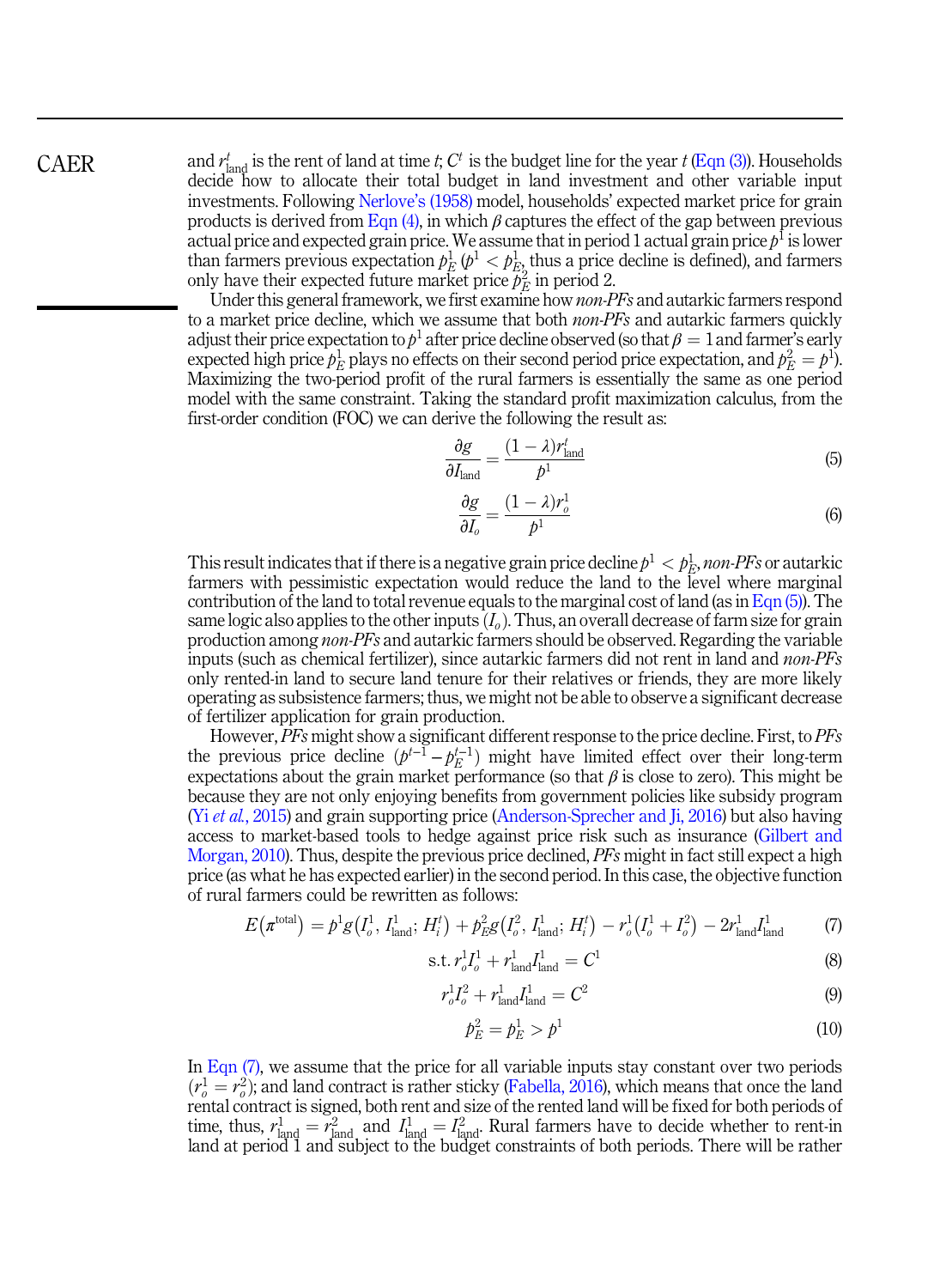<span id="page-6-0"></span>and  $r_{\text{land}}^t$  is the rent of land at time t;  $C^t$  is the budget line for the year t [\(Eqn \(3\)\)](#page-5-0). Households decide how to allocate their total budget in land investment and other variable input investments. Following [Nerlove](#page-22-0)'s (1958) model, households' expected market price for grain products is derived from [Eqn \(4\)](#page-5-0), in which  $\beta$  captures the effect of the gap between previous actual price and expected grain price. We assume that in period 1 actual grain price  $p<sup>1</sup>$  is lower than farmers previous expectation  $p_E^1$  ( $p^1 < p_{E_2}^1$  thus a price decline is defined), and farmers only have their expected future market price  $\bar{p}_E^2$  in period 2.

Under this general framework, we first examine how *non-PFs* and autarkic farmers respond to a market price decline, which we assume that both *non-PFs* and autarkic farmers quickly adjust their price expectation to  $p<sup>1</sup>$  after price decline observed (so that  $\beta = 1$  and farmer's early expected high price  $p_E^1$  plays no effects on their second period price expectation, and  $p_E^2 = p^1$ . Maximizing the two-period profit of the rural farmers is essentially the same as one period model with the same constraint. Taking the standard profit maximization calculus, from the first-order condition (FOC) we can derive the following the result as:

$$
\frac{\partial g}{\partial I_{\text{land}}} = \frac{(1 - \lambda)r_{\text{land}}^t}{p^1} \tag{5}
$$

$$
\frac{\partial g}{\partial l_o} = \frac{(1 - \lambda)r_o^1}{p^1} \tag{6}
$$

This result indicates that if there is a negative grain price decline  $p^1 < p_E^1$ , non-PFs or autarkic farmers with pessimistic expectation would reduce the land to the level where marginal contribution of the land to total revenue equals to the marginal cost of land (as in Eqn (5)). The same logic also applies to the other inputs  $(I<sub>o</sub>)$ . Thus, an overall decrease of farm size for grain production among non-PFs and autarkic farmers should be observed. Regarding the variable inputs (such as chemical fertilizer), since autarkic farmers did not rent in land and non-PFs only rented-in land to secure land tenure for their relatives or friends, they are more likely operating as subsistence farmers; thus, we might not be able to observe a significant decrease of fertilizer application for grain production.

However, PFs might show a significant different response to the price decline. First, to PFs operating as subsistence farmers; thus, we might not be able to observe a significant decrease<br>of fertilizer application for grain production.<br>However, *PFs* might show a significant different response to the price declin expectations about the grain market performance (so that  $\beta$  is close to zero). This might be because they are not only enjoying benefits from government policies like subsidy program (Yi et al.[, 2015](#page-23-0)) and grain supporting price [\(Anderson-Sprecher and Ji, 2016](#page-20-0)) but also having access to market-based tools to hedge against price risk such as insurance ([Gilbert and](#page-21-0) [Morgan, 2010\)](#page-21-0). Thus, despite the previous price declined, PFs might in fact still expect a high price (as what he has expected earlier) in the second period. In this case, the objective function of rural farmers could be rewritten as follows:

$$
E(\pi^{\text{total}}) = p^1 g(I_o^1, I_{\text{land}}^1; H_i^t) + p_E^2 g(I_o^2, I_{\text{land}}^1; H_i^t) - r_o^1(I_o^1 + I_o^2) - 2r_{\text{land}}^1 I_{\text{land}}^1
$$
 (7)

$$
s.t. r_o^1 I_o^1 + r_{land}^1 I_{land}^1 = C^1
$$
\n(8)

$$
r_o^1 I_o^2 + r_{\text{land}}^1 I_{\text{land}}^1 = C^2
$$
 (9)

$$
p_E^2 = p_E^1 > p^1 \tag{10}
$$

In Eqn (7), we assume that the price for all variable inputs stay constant over two periods  $(r_o^1 = r_o^2)$ ; and land contract is rather sticky ([Fabella, 2016\)](#page-21-0), which means that once the land rental contract is signed, both rent and size of the rented land will be fixed for both periods of time, thus,  $r_{\text{land}}^1 = r_{\text{land}}^2$  and  $I_{\text{land}}^1 = I_{\text{land}}^2$ . Rural farmers have to decide whether to rent-in land at period 1 and subject to the budget constraints of both periods. There will be rather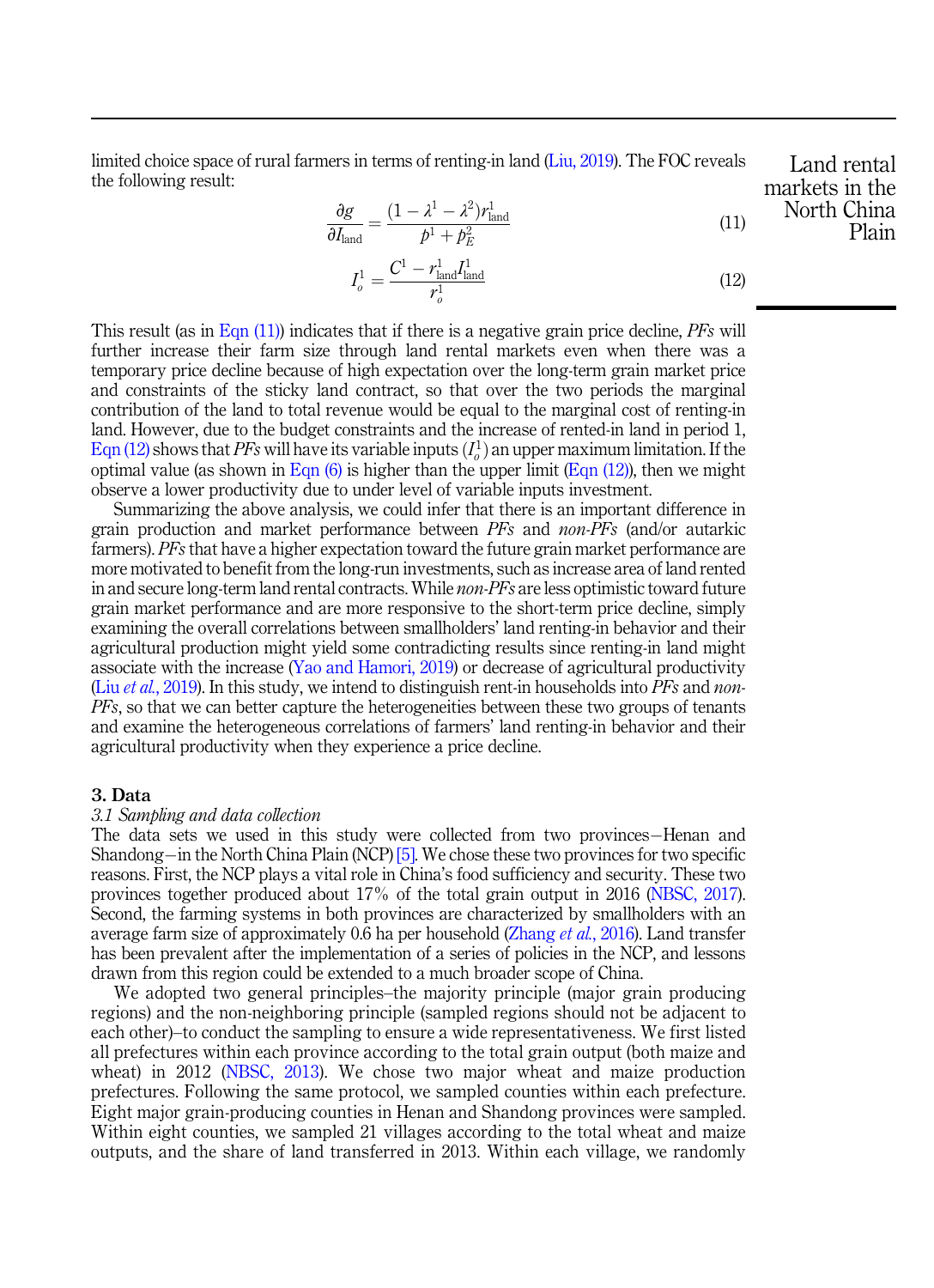<span id="page-7-0"></span>limited choice space of rural farmers in terms of renting-in land ([Liu, 2019](#page-22-0)). The FOC reveals the following result:

$$
\frac{\partial g}{\partial I_{\text{land}}} = \frac{(1 - \lambda^1 - \lambda^2) r_{\text{land}}^1}{p^1 + p_E^2}
$$
 (11) NC

$$
I_o^1 = \frac{C^1 - r_{\text{land}}^1 I_{\text{land}}^1}{r_o^1}
$$
 (12)

This result (as in Eqn  $(11)$ ) indicates that if there is a negative grain price decline, *PFs* will further increase their farm size through land rental markets even when there was a temporary price decline because of high expectation over the long-term grain market price and constraints of the sticky land contract, so that over the two periods the marginal contribution of the land to total revenue would be equal to the marginal cost of renting-in land. However, due to the budget constraints and the increase of rented-in land in period 1, Eqn (12) shows that PFs will have its variable inputs  $(I_o^1)$  an upper maximum limitation. If the optimal value (as shown in Eqn  $(6)$  is higher than the upper limit (Eqn  $(12)$ ), then we might observe a lower productivity due to under level of variable inputs investment.

Summarizing the above analysis, we could infer that there is an important difference in grain production and market performance between PFs and non-PFs (and/or autarkic farmers). PFs that have a higher expectation toward the future grain market performance are more motivated to benefit from the long-run investments, such as increase area of land rented in and secure long-term land rental contracts. While *non-PFs* are less optimistic toward future grain market performance and are more responsive to the short-term price decline, simply examining the overall correlations between smallholders' land renting-in behavior and their agricultural production might yield some contradicting results since renting-in land might associate with the increase ([Yao and Hamori, 2019\)](#page-23-0) or decrease of agricultural productivity (Liu *et al.*[, 2019](#page-22-0)). In this study, we intend to distinguish rent-in households into *PFs* and non-PFs, so that we can better capture the heterogeneities between these two groups of tenants and examine the heterogeneous correlations of farmers' land renting-in behavior and their agricultural productivity when they experience a price decline.

#### 3. Data

#### 3.1 Sampling and data collection

The data sets we used in this study were collected from two provinces-Henan and Shandong-in the North China Plain (NCP) [\[5\]](#page-19-0). We chose these two provinces for two specific reasons. First, the NCP plays a vital role in China's food sufficiency and security. These two provinces together produced about 17% of the total grain output in 2016 ([NBSC, 2017\)](#page-22-0). Second, the farming systems in both provinces are characterized by smallholders with an average farm size of approximately 0.6 ha per household ([Zhang](#page-23-0) et al., 2016). Land transfer has been prevalent after the implementation of a series of policies in the NCP, and lessons drawn from this region could be extended to a much broader scope of China.

We adopted two general principles–the majority principle (major grain producing regions) and the non-neighboring principle (sampled regions should not be adjacent to each other)–to conduct the sampling to ensure a wide representativeness. We first listed all prefectures within each province according to the total grain output (both maize and wheat) in 2012 ([NBSC, 2013\)](#page-22-0). We chose two major wheat and maize production prefectures. Following the same protocol, we sampled counties within each prefecture. Eight major grain-producing counties in Henan and Shandong provinces were sampled. Within eight counties, we sampled 21 villages according to the total wheat and maize outputs, and the share of land transferred in 2013. Within each village, we randomly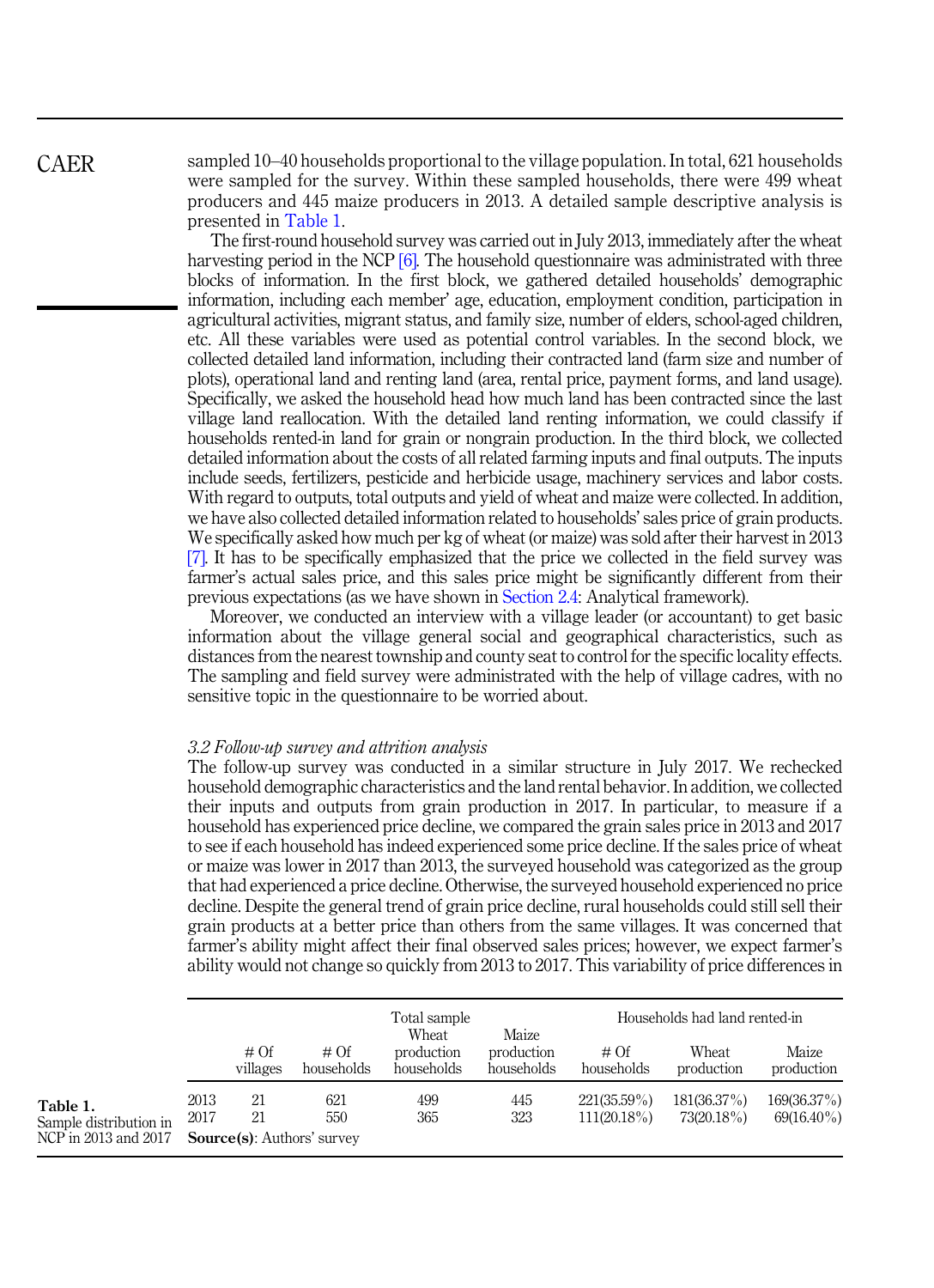sampled 10–40 households proportional to the village population. In total, 621 households were sampled for the survey. Within these sampled households, there were 499 wheat producers and 445 maize producers in 2013. A detailed sample descriptive analysis is presented in Table 1.

The first-round household survey was carried out in July 2013, immediately after the wheat harvesting period in the NCP [\[6\].](#page-19-0) The household questionnaire was administrated with three blocks of information. In the first block, we gathered detailed households' demographic information, including each member' age, education, employment condition, participation in agricultural activities, migrant status, and family size, number of elders, school-aged children, etc. All these variables were used as potential control variables. In the second block, we collected detailed land information, including their contracted land (farm size and number of plots), operational land and renting land (area, rental price, payment forms, and land usage). Specifically, we asked the household head how much land has been contracted since the last village land reallocation. With the detailed land renting information, we could classify if households rented-in land for grain or nongrain production. In the third block, we collected detailed information about the costs of all related farming inputs and final outputs. The inputs include seeds, fertilizers, pesticide and herbicide usage, machinery services and labor costs. With regard to outputs, total outputs and yield of wheat and maize were collected. In addition, we have also collected detailed information related to households' sales price of grain products. We specifically asked how much per kg of wheat (or maize) was sold after their harvest in 2013 [\[7\]](#page-19-0). It has to be specifically emphasized that the price we collected in the field survey was farmer's actual sales price, and this sales price might be significantly different from their previous expectations (as we have shown in [Section 2.4](#page-5-0): Analytical framework).

Moreover, we conducted an interview with a village leader (or accountant) to get basic information about the village general social and geographical characteristics, such as distances from the nearest township and county seat to control for the specific locality effects. The sampling and field survey were administrated with the help of village cadres, with no sensitive topic in the questionnaire to be worried about.

#### 3.2 Follow-up survey and attrition analysis

The follow-up survey was conducted in a similar structure in July 2017. We rechecked household demographic characteristics and the land rental behavior. In addition, we collected their inputs and outputs from grain production in 2017. In particular, to measure if a household has experienced price decline, we compared the grain sales price in 2013 and 2017 to see if each household has indeed experienced some price decline. If the sales price of wheat or maize was lower in 2017 than 2013, the surveyed household was categorized as the group that had experienced a price decline. Otherwise, the surveyed household experienced no price decline. Despite the general trend of grain price decline, rural households could still sell their grain products at a better price than others from the same villages. It was concerned that farmer's ability might affect their final observed sales prices; however, we expect farmer's ability would not change so quickly from 2013 to 2017. This variability of price differences in

|                                    |              |                 |                                   | Total sample<br>Wheat    | Maize                    |                               | Households had land rented-in |                              |
|------------------------------------|--------------|-----------------|-----------------------------------|--------------------------|--------------------------|-------------------------------|-------------------------------|------------------------------|
|                                    |              | #Of<br>villages | #Of<br>households                 | production<br>households | production<br>households | # $\Omega$<br>households      | Wheat<br>production           | Maize<br>production          |
| Table 1.<br>Sample distribution in | 2013<br>2017 | 21<br>21        | 621<br>550                        | 499<br>365               | 445<br>323               | 221(35.59%)<br>$111(20.18\%)$ | 181(36.37%)<br>73(20.18%)     | 169(36.37%)<br>$69(16.40\%)$ |
| NCP in 2013 and 2017               |              |                 | <b>Source(s):</b> Authors' survey |                          |                          |                               |                               |                              |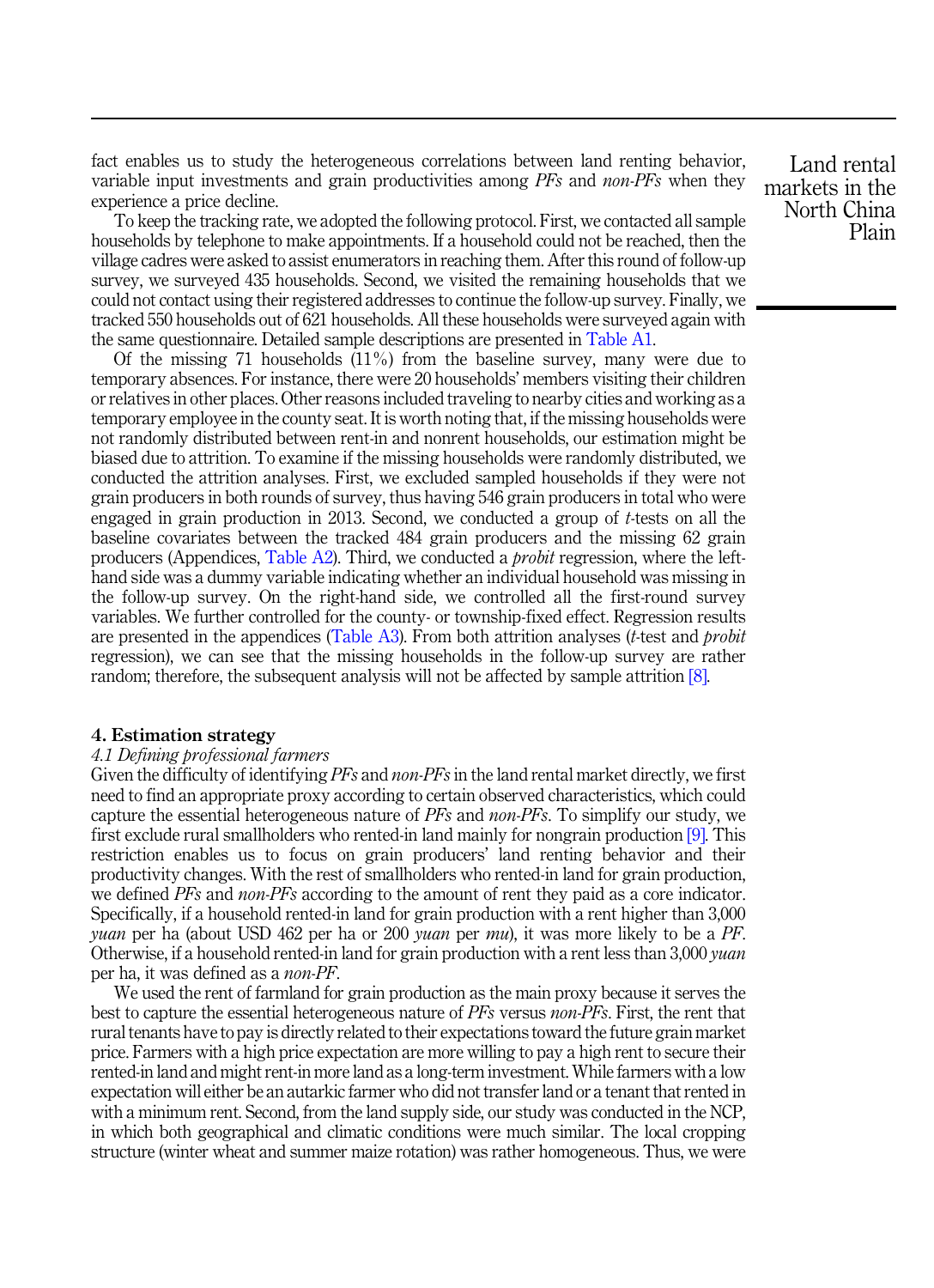<span id="page-9-0"></span>fact enables us to study the heterogeneous correlations between land renting behavior, variable input investments and grain productivities among PFs and non-PFs when they experience a price decline.

To keep the tracking rate, we adopted the following protocol. First, we contacted all sample households by telephone to make appointments. If a household could not be reached, then the village cadres were asked to assist enumerators in reaching them. After this round of follow-up survey, we surveyed 435 households. Second, we visited the remaining households that we could not contact using their registered addresses to continue the follow-up survey. Finally, we tracked 550 households out of 621 households. All these households were surveyed again with the same questionnaire. Detailed sample descriptions are presented in [Table A1.](#page-24-0)

Of the missing 71 households (11%) from the baseline survey, many were due to temporary absences. For instance, there were 20 households' members visiting their children or relatives in other places. Other reasons included traveling to nearby cities and working as a temporary employee in the county seat. It is worth noting that, if the missing households were not randomly distributed between rent-in and nonrent households, our estimation might be biased due to attrition. To examine if the missing households were randomly distributed, we conducted the attrition analyses. First, we excluded sampled households if they were not grain producers in both rounds of survey, thus having 546 grain producers in total who were engaged in grain production in 2013. Second, we conducted a group of t-tests on all the baseline covariates between the tracked 484 grain producers and the missing 62 grain producers (Appendices, [Table A2\)](#page-25-0). Third, we conducted a probit regression, where the lefthand side was a dummy variable indicating whether an individual household was missing in the follow-up survey. On the right-hand side, we controlled all the first-round survey variables. We further controlled for the county- or township-fixed effect. Regression results are presented in the appendices ([Table A3\)](#page-26-0). From both attrition analyses  $(t$ -test and *probit* regression), we can see that the missing households in the follow-up survey are rather random; therefore, the subsequent analysis will not be affected by sample attrition [\[8\]](#page-20-0).

## 4. Estimation strategy

#### 4.1 Defining professional farmers

Given the difficulty of identifying  $PFs$  and non-PFs in the land rental market directly, we first need to find an appropriate proxy according to certain observed characteristics, which could capture the essential heterogeneous nature of PFs and non-PFs. To simplify our study, we first exclude rural smallholders who rented-in land mainly for nongrain production [\[9\]](#page-20-0). This restriction enables us to focus on grain producers' land renting behavior and their productivity changes. With the rest of smallholders who rented-in land for grain production, we defined PFs and non-PFs according to the amount of rent they paid as a core indicator. Specifically, if a household rented-in land for grain production with a rent higher than 3,000 *yuan* per ha (about USD 462 per ha or 200 *yuan* per *mu*), it was more likely to be a PF. Otherwise, if a household rented-in land for grain production with a rent less than 3,000 *yuan* per ha, it was defined as a non-PF.

We used the rent of farmland for grain production as the main proxy because it serves the best to capture the essential heterogeneous nature of PFs versus non-PFs. First, the rent that rural tenants have to pay is directly related to their expectations toward the future grain market price. Farmers with a high price expectation are more willing to pay a high rent to secure their rented-in land and might rent-in more land as a long-term investment. While farmers with a low expectation will either be an autarkic farmer who did not transfer land or a tenant that rented in with a minimum rent. Second, from the land supply side, our study was conducted in the NCP, in which both geographical and climatic conditions were much similar. The local cropping structure (winter wheat and summer maize rotation) was rather homogeneous. Thus, we were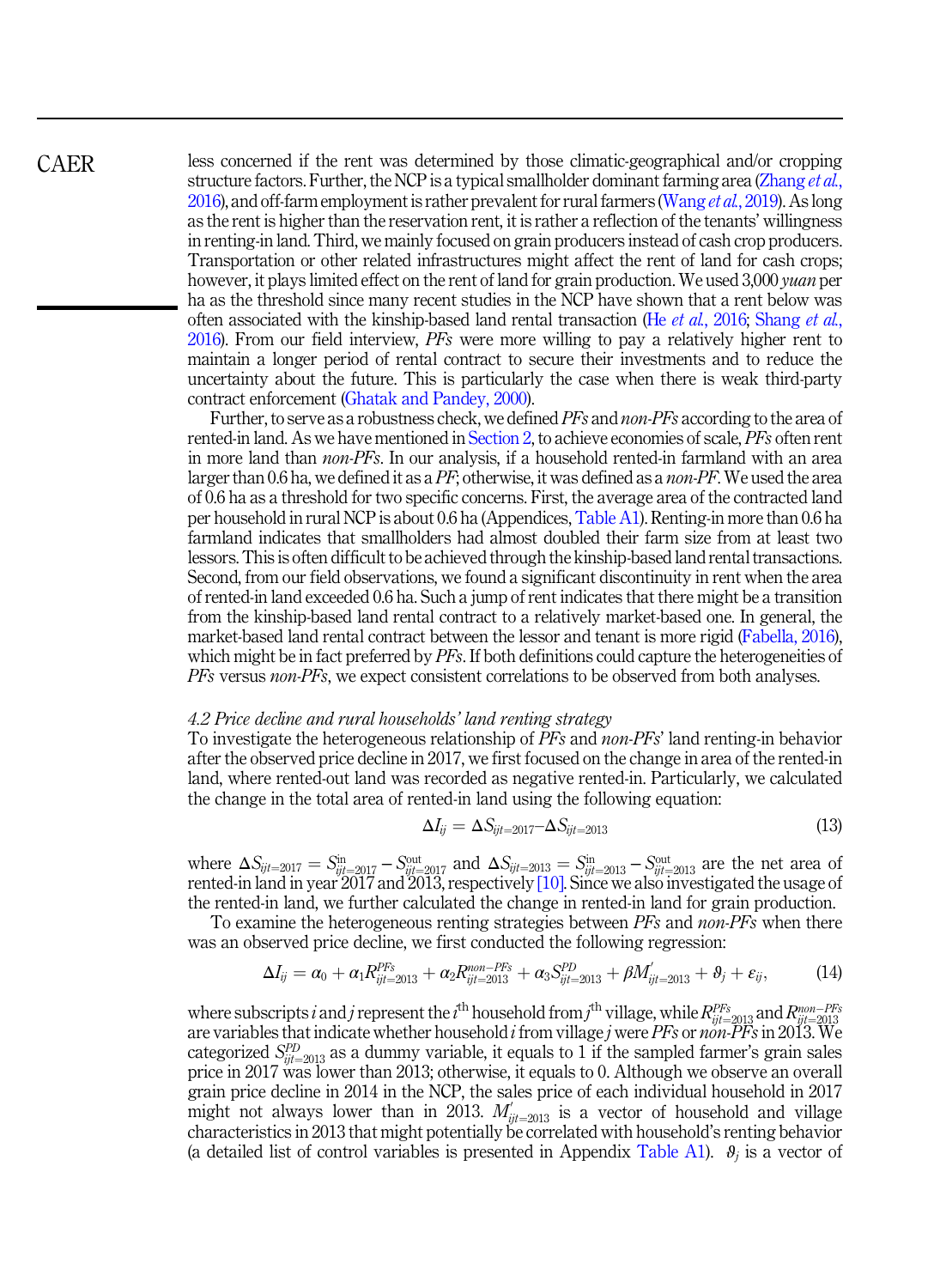less concerned if the rent was determined by those climatic-geographical and/or cropping structure factors. Further, the NCP is a typical smallholder dominant farming area [\(Zhang](#page-23-0) et al., [2016\)](#page-23-0), and off-farm employment is rather prevalent for rural farmers [\(Wang](#page-23-0) et al., 2019). As long as the rent is higher than the reservation rent, it is rather a reflection of the tenants' willingness in renting-in land. Third, we mainly focused on grain producers instead of cash crop producers. Transportation or other related infrastructures might affect the rent of land for cash crops; however, it plays limited effect on the rent of land for grain production. We used 3,000 *yuan* per ha as the threshold since many recent studies in the NCP have shown that a rent below was often associated with the kinship-based land rental transaction (He et al.[, 2016](#page-21-0); [Shang](#page-22-0) et al., [2016\)](#page-22-0). From our field interview, PFs were more willing to pay a relatively higher rent to maintain a longer period of rental contract to secure their investments and to reduce the uncertainty about the future. This is particularly the case when there is weak third-party contract enforcement [\(Ghatak and Pandey, 2000](#page-21-0)).

Further, to serve as a robustness check, we defined PFs and non-PFs according to the area of rented-in land. As we have mentioned in [Section 2,](#page-3-0) to achieve economies of scale, PFs often rent in more land than non-PFs. In our analysis, if a household rented-in farmland with an area larger than 0.6 ha, we defined it as a  $PF$ ; otherwise, it was defined as a *non-PF*. We used the area of 0.6 ha as a threshold for two specific concerns. First, the average area of the contracted land per household in rural NCP is about 0.6 ha (Appendices, [Table A1](#page-24-0)). Renting-in more than 0.6 ha farmland indicates that smallholders had almost doubled their farm size from at least two lessors. This is often difficult to be achieved through the kinship-based land rental transactions. Second, from our field observations, we found a significant discontinuity in rent when the area of rented-in land exceeded 0.6 ha. Such a jump of rent indicates that there might be a transition from the kinship-based land rental contract to a relatively market-based one. In general, the market-based land rental contract between the lessor and tenant is more rigid [\(Fabella, 2016\)](#page-21-0), which might be in fact preferred by PFs. If both definitions could capture the heterogeneities of PFs versus non-PFs, we expect consistent correlations to be observed from both analyses.

#### 4.2 Price decline and rural households' land renting strategy

To investigate the heterogeneous relationship of PFs and non-PFs' land renting-in behavior after the observed price decline in 2017, we first focused on the change in area of the rented-in land, where rented-out land was recorded as negative rented-in. Particularly, we calculated the change in the total area of rented-in land using the following equation:

$$
\Delta I_{ij} = \Delta S_{ijt=2017} - \Delta S_{ijt=2013} \tag{13}
$$

the change in the total area of rented-in land using the following equation:<br>  $\Delta I_{ij} = \Delta S_{ijt=2017} - \Delta S_{ijt=2013} - \Delta S_{ijt=2013}$  are the net area of<br>
vented-in land in year 2017 and 2013, respectively [\[10\].](#page-20-0) Since we also inv the rented-in land, we further calculated the change in rented-in land for grain production.

To examine the heterogeneous renting strategies between *PFs* and *non-PFs* when there was an observed price decline, we first conducted the following regression:

$$
\Delta I_{ij} = \alpha_0 + \alpha_1 R_{ijt=2013}^{PFs} + \alpha_2 R_{ijt=2013}^{non-PFs} + \alpha_3 S_{ijt=2013}^{PD} + \beta M_{ijt=2013}^{'} + \theta_j + \varepsilon_{ij},
$$
(14)

where subscripts *i* and *j* represent the *i*<sup>th</sup> household from *j*<sup>th</sup> village, while  $R_{ijt=2013}^{PF_3}$  and  $R_{ijt=2013}^{non-PFS}$  are variables that indicate whether household *i* from village *j* were *PFs* or *non-PFs* i categorized  $S_{ijt=2013}^{PD}$  as a dummy variable, it equals to 1 if the sampled farmer's grain sales price in 2017 was lower than 2013; otherwise, it equals to 0. Although we observe an overall grain price decline in 2014 in the NCP, the sales price of each individual household in 2017 might not always lower than in 2013.  $M'_{ijt=2013}$  is a vector of household and village characteristics in 2013 that might potentially be correlated with household's renting behavior (a detailed list of control variables is presented in Appendix [Table A1\)](#page-24-0).  $\theta_i$  is a vector of

<span id="page-10-0"></span>CAER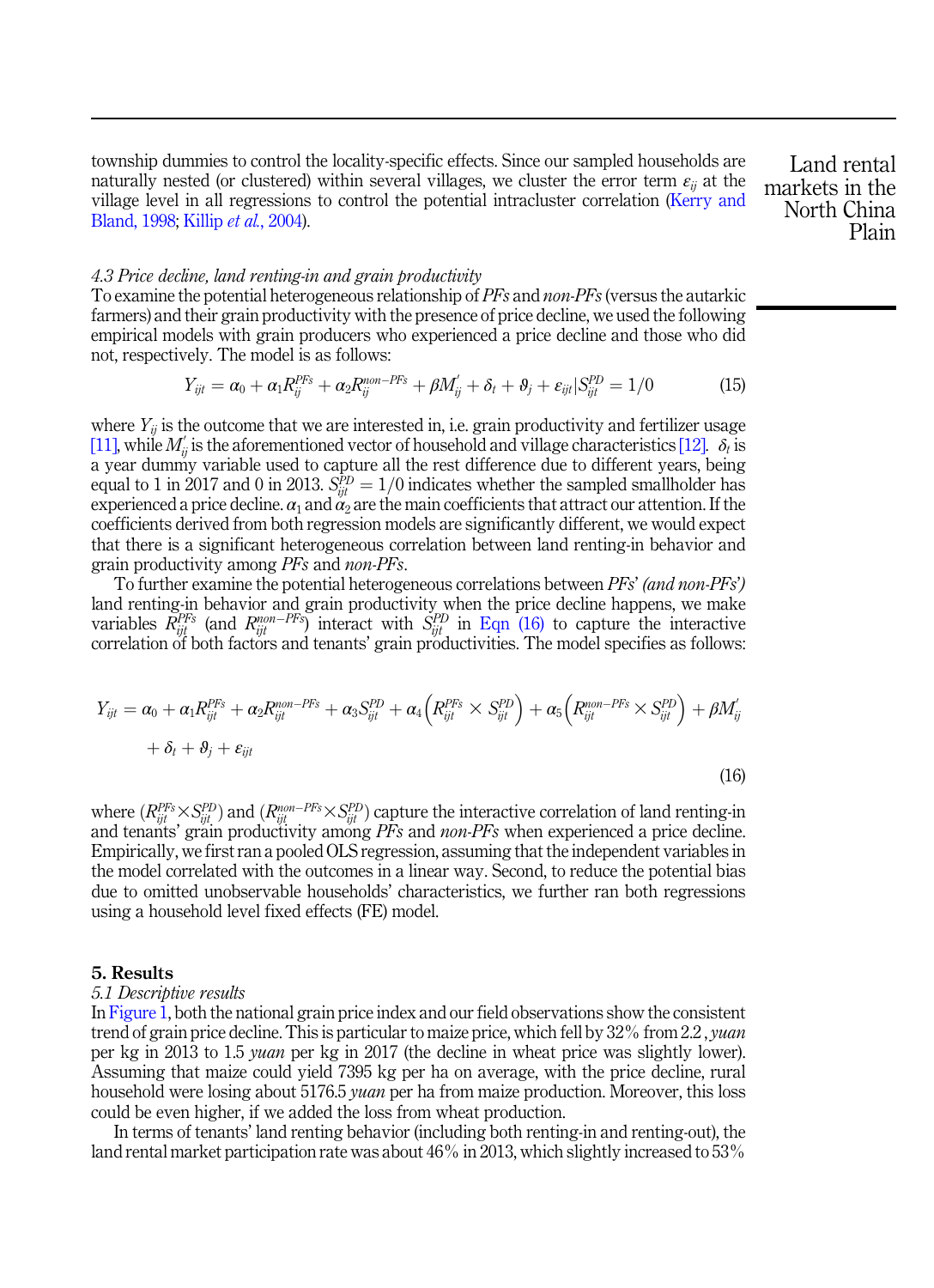<span id="page-11-0"></span>township dummies to control the locality-specific effects. Since our sampled households are naturally nested (or clustered) within several villages, we cluster the error term  $\varepsilon_{ii}$  at the village level in all regressions to control the potential intracluster correlation [\(Kerry and](#page-22-0) [Bland, 1998;](#page-22-0) Killip et al.[, 2004\)](#page-22-0).

Land rental markets in the North China Plain

# 4.3 Price decline, land renting-in and grain productivity

To examine the potential heterogeneous relationship of PFs and non-PFs (versus the autarkic farmers) and their grain productivity with the presence of price decline, we used the following empirical models with grain producers who experienced a price decline and those who did not, respectively. The model is as follows:

$$
Y_{ijt} = \alpha_0 + \alpha_1 R_{ij}^{PFs} + \alpha_2 R_{ij}^{non-PFs} + \beta M_{ij}^{\prime} + \delta_t + \theta_j + \varepsilon_{ijt} | S_{ijt}^{PD} = 1/0 \tag{15}
$$

where  $Y_{ij}$  is the outcome that we are interested in, i.e. grain productivity and fertilizer usage [\[11\],](#page-20-0) while  $M_{ij}$  is the aforementioned vector of household and village characteristics [\[12\].](#page-20-0)  $\delta_t$  is a year dummy variable used to capture all the rest difference due to different years, being equal to 1 in 2017 and 0 in 2013.  $S_{ijt}^{PD} = 1/0$  indicates whether the sampled smallholder has experienced a price decline.  $\alpha_1$  and  $\alpha_2$  are the main coefficients that attract our attention. If the coefficients derived from both regression models are significantly different, we would expect that there is a significant heterogeneous correlation between land renting-in behavior and grain productivity among PFs and non-PFs.

To further examine the potential heterogeneous correlations between PFs' (and non-PFs') land renting-in behavior and grain productivity when the price decline happens, we make variables  $R_{ijt}^{PPs}$  (and  $R_{ijt}^{non-PFs}$ ) interact with  $S_{ijt}^{PD}$  in Eqn (16) to capture the interactive correlation of both factors and tenants' grain productivities. The model specifies as follows:

$$
Y_{ijt} = \alpha_0 + \alpha_1 R_{ijt}^{PFs} + \alpha_2 R_{ijt}^{non-PFs} + \alpha_3 S_{ijt}^{PD} + \alpha_4 \left( R_{ijt}^{PFs} \times S_{ijt}^{PD} \right) + \alpha_5 \left( R_{ijt}^{non-PFs} \times S_{ijt}^{PD} \right) + \beta M_{ij}^{\prime}
$$
  
+  $\delta_t + \theta_j + \varepsilon_{ijt}$  (16)

where  $(R_{ij}^{PFs} \times S_{ijl}^{PD})$  and  $(R_{ijl}^{non-PFs} \times S_{ijl}^{PD})$  capture the interactive correlation of land renting-in and tenants' grain productivity among *PFs* and *non-PFs* when experienced a price decline. Empirically, we first ran a pooled OLS regression, assuming that the independent variables in the model correlated with the outcomes in a linear way. Second, to reduce the potential bias due to omitted unobservable households' characteristics, we further ran both regressions using a household level fixed effects (FE) model.

#### 5. Results

#### 5.1 Descriptive results

In [Figure 1,](#page-4-0) both the national grain price index and our field observations show the consistent trend of grain price decline. This is particular to maize price, which fell by 32% from 2.2, *yuan* per kg in 2013 to 1.5 yuan per kg in 2017 (the decline in wheat price was slightly lower). Assuming that maize could yield 7395 kg per ha on average, with the price decline, rural household were losing about 5176.5 *yuan* per ha from maize production. Moreover, this loss could be even higher, if we added the loss from wheat production.

In terms of tenants' land renting behavior (including both renting-in and renting-out), the land rental market participation rate was about 46% in 2013, which slightly increased to 53%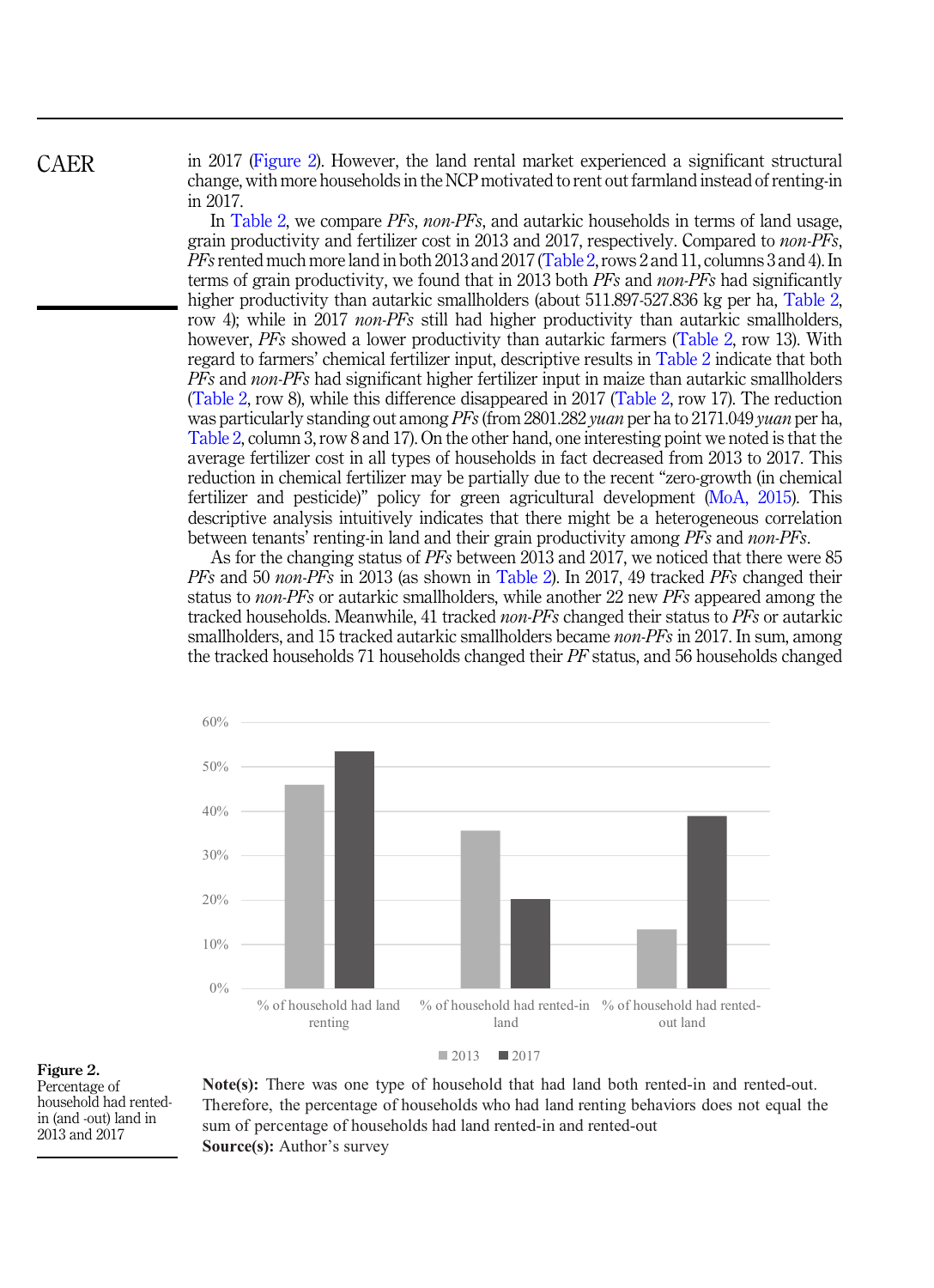in 2017 (Figure 2). However, the land rental market experienced a significant structural change, with more households in the NCP motivated to rent out farmland instead of renting-in in 2017.

In [Table 2](#page-13-0), we compare PFs, non-PFs, and autarkic households in terms of land usage, grain productivity and fertilizer cost in 2013 and 2017, respectively. Compared to non-PFs, PFs rented much more land in both 2013 and 2017 [\(Table 2](#page-13-0), rows 2 and 11, columns 3 and 4). In terms of grain productivity, we found that in 2013 both PFs and non-PFs had significantly higher productivity than autarkic smallholders (about 511.897-527.836 kg per ha, [Table 2](#page-13-0), row 4); while in 2017 *non-PFs* still had higher productivity than autarkic smallholders, however, *PFs* showed a lower productivity than autarkic farmers ([Table 2](#page-13-0), row 13). With regard to farmers' chemical fertilizer input, descriptive results in [Table 2](#page-13-0) indicate that both PFs and non-PFs had significant higher fertilizer input in maize than autarkic smallholders ([Table 2,](#page-13-0) row 8), while this difference disappeared in 2017 ([Table 2,](#page-13-0) row 17). The reduction was particularly standing out among PFs(from 2801.282 yuan per ha to 2171.049 yuan per ha, [Table 2](#page-13-0), column 3, row 8 and 17). On the other hand, one interesting point we noted is that the average fertilizer cost in all types of households in fact decreased from 2013 to 2017. This reduction in chemical fertilizer may be partially due to the recent "zero-growth (in chemical fertilizer and pesticide)" policy for green agricultural development ([MoA, 2015](#page-22-0)). This descriptive analysis intuitively indicates that there might be a heterogeneous correlation between tenants' renting-in land and their grain productivity among PFs and non-PFs.

As for the changing status of PFs between 2013 and 2017, we noticed that there were 85 PFs and 50 non-PFs in 2013 (as shown in [Table 2](#page-13-0)). In 2017, 49 tracked PFs changed their status to *non-PFs* or autarkic smallholders, while another 22 new *PFs* appeared among the tracked households. Meanwhile, 41 tracked non-PFs changed their status to PFs or autarkic smallholders, and 15 tracked autarkic smallholders became *non-PFs* in 2017. In sum, among the tracked households 71 households changed their PF status, and 56 households changed



#### Figure 2. Percentage of household had rentedin (and -out) land in 2013 and 2017

**Note(s):** There was one type of household that had land both rented-in and rented-out. Therefore, the percentage of households who had land renting behaviors does not equal the sum of percentage of households had land rented-in and rented-out **Source(s):** Author's survey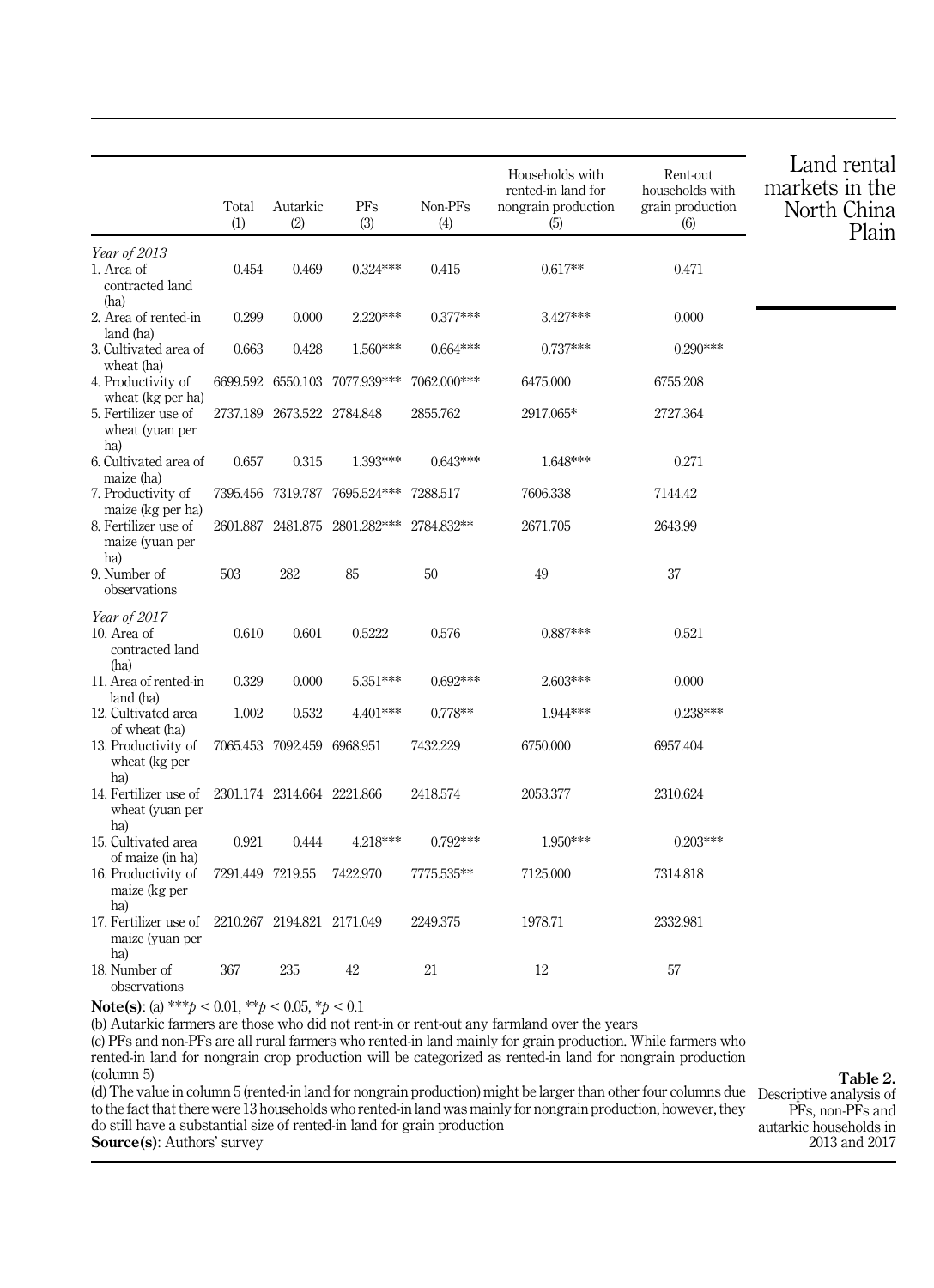<span id="page-13-0"></span>

|                                                                     | Total            | Autarkic                   | PFs                                      | Non-PFs     | Households with<br>rented-in land for<br>nongrain production | Rent-out<br>households with<br>grain production | Land rental<br>markets in the<br>North China |
|---------------------------------------------------------------------|------------------|----------------------------|------------------------------------------|-------------|--------------------------------------------------------------|-------------------------------------------------|----------------------------------------------|
|                                                                     | (1)              | (2)                        | (3)                                      | (4)         | (5)                                                          | (6)                                             | Plain                                        |
| Year of 2013<br>1. Area of<br>contracted land                       | 0.454            | 0.469                      | $0.324***$                               | 0.415       | $0.617**$                                                    | 0.471                                           |                                              |
| (ha)<br>2. Area of rented-in                                        | 0.299            | 0.000                      | 2.220***                                 | $0.377***$  | 3.427***                                                     | 0.000                                           |                                              |
| land (ha)<br>3. Cultivated area of<br>wheat (ha)                    | 0.663            | 0.428                      | 1.560***                                 | $0.664***$  | $0.737***$                                                   | $0.290***$                                      |                                              |
| 4. Productivity of<br>wheat (kg per ha)                             |                  |                            | 6699.592 6550.103 7077.939***            | 7062.000*** | 6475.000                                                     | 6755.208                                        |                                              |
| 5. Fertilizer use of<br>wheat (yuan per<br>ha)                      |                  | 2737.189 2673.522 2784.848 |                                          | 2855.762    | 2917.065*                                                    | 2727.364                                        |                                              |
| 6. Cultivated area of                                               | 0.657            | 0.315                      | 1.393***                                 | $0.643***$  | 1.648***                                                     | 0.271                                           |                                              |
| maize (ha)<br>7. Productivity of                                    |                  |                            | 7395.456 7319.787 7695.524***            | 7288.517    | 7606.338                                                     | 7144.42                                         |                                              |
| maize (kg per ha)<br>8. Fertilizer use of<br>maize (yuan per<br>ha) |                  |                            | 2601.887 2481.875 2801.282*** 2784.832** |             | 2671.705                                                     | 2643.99                                         |                                              |
| 9. Number of<br>observations                                        | 503              | 282                        | 85                                       | 50          | 49                                                           | 37                                              |                                              |
| Year of 2017<br>10. Area of<br>contracted land<br>(ha)              | 0.610            | 0.601                      | 0.5222                                   | 0.576       | 0.887***                                                     | 0.521                                           |                                              |
| 11. Area of rented-in<br>land (ha)                                  | 0.329            | 0.000                      | 5.351***                                 | 0.692***    | 2.603***                                                     | 0.000                                           |                                              |
| 12. Cultivated area<br>of wheat (ha)                                | 1.002            | 0.532                      | $4.401***$                               | $0.778**$   | $1.944***$                                                   | $0.238***$                                      |                                              |
| 13. Productivity of<br>wheat (kg per<br>ha)                         |                  | 7065.453 7092.459 6968.951 |                                          | 7432.229    | 6750.000                                                     | 6957.404                                        |                                              |
| 14. Fertilizer use of<br>wheat (yuan per<br>ha)                     |                  | 2301.174 2314.664 2221.866 |                                          | 2418.574    | 2053.377                                                     | 2310.624                                        |                                              |
| 15. Cultivated area<br>of maize (in ha)                             | 0.921            | 0.444                      | 4.218***                                 | $0.792***$  | 1.950***                                                     | $0.203***$                                      |                                              |
| 16. Productivity of<br>maize (kg per<br>ha)                         | 7291.449 7219.55 |                            | 7422.970                                 | 7775.535**  | 7125.000                                                     | 7314.818                                        |                                              |
| 17. Fertilizer use of 2210.267 2194.821 2171.049<br>maize (yuan per |                  |                            |                                          | 2249.375    | 1978.71                                                      | 2332.981                                        |                                              |
| ha)<br>18. Number of<br>observations                                | 367              | 235                        | 42                                       | 21          | 12                                                           | 57                                              |                                              |

Note(s): (a) \*\*\*  $p < 0.01$ , \*\*  $p < 0.05$ , \*  $p < 0.1$ 

(b) Autarkic farmers are those who did not rent-in or rent-out any farmland over the years

(c) PFs and non-PFs are all rural farmers who rented-in land mainly for grain production. While farmers who rented-in land for nongrain crop production will be categorized as rented-in land for nongrain production (column 5)

(d) The value in column 5 (rented-in land for nongrain production) might be larger than other four columns due to the fact that there were 13 households who rented-in land was mainly for nongrain production, however, they do still have a substantial size of rented-in land for grain production Source(s): Authors' survey

Table 2.

Descriptive analysis of PFs, non-PFs and autarkic households in 2013 and 2017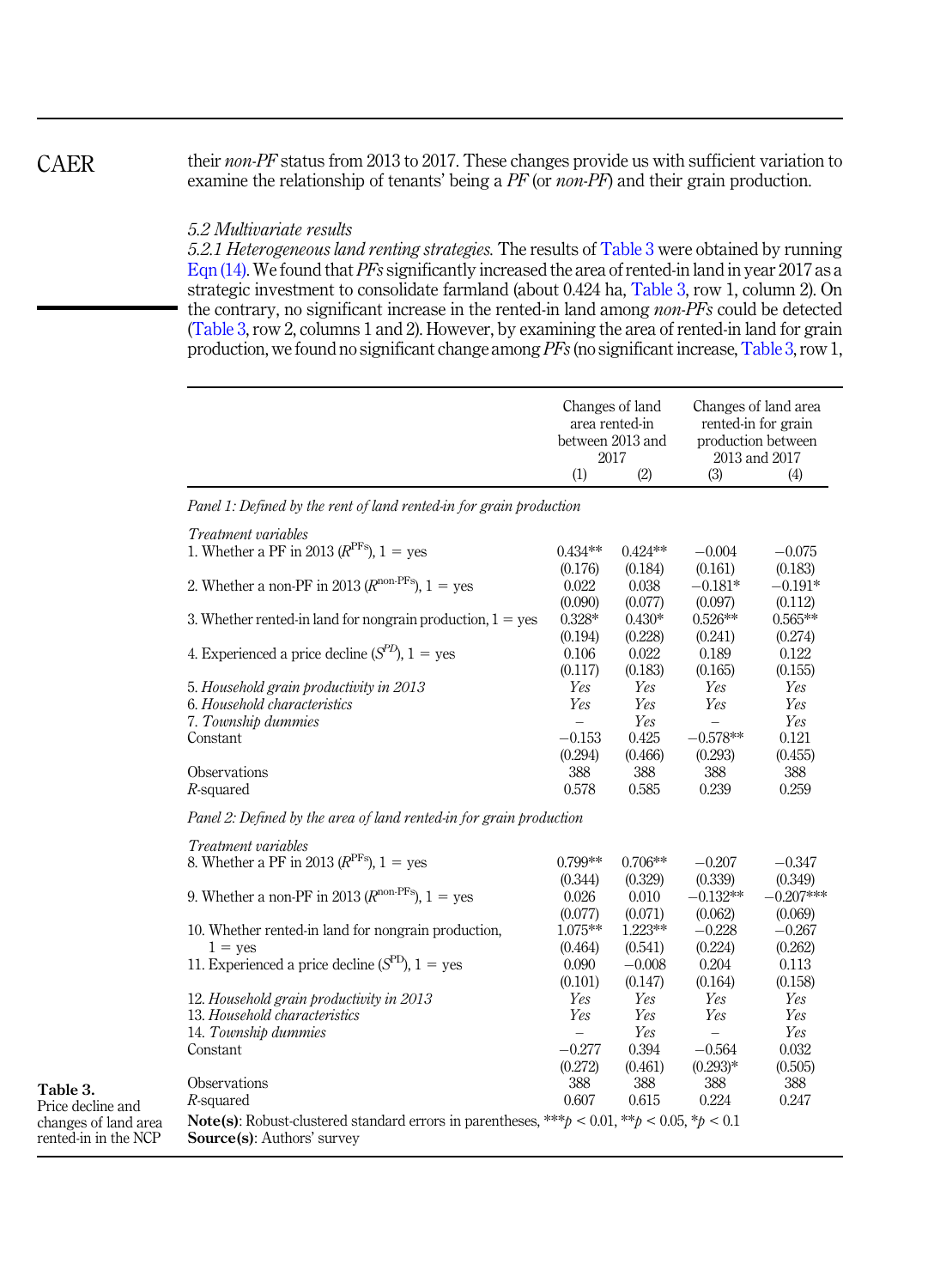their non-PF status from 2013 to 2017. These changes provide us with sufficient variation to examine the relationship of tenants' being a PF (or *non-PF*) and their grain production.

# 5.2 Multivariate results

5.2.1 Heterogeneous land renting strategies. The results of Table 3 were obtained by running [Eqn \(14\)](#page-10-0). We found that PFs significantly increased the area of rented-in land in year 2017 as a strategic investment to consolidate farmland (about 0.424 ha, Table 3, row 1, column 2). On the contrary, no significant increase in the rented-in land among non-PFs could be detected (Table 3, row 2, columns 1 and 2). However, by examining the area of rented-in land for grain production, we found no significant change among PFs(no significant increase, Table 3, row 1,

|                                                                     |                      | Changes of land<br>area rented-in<br>between 2013 and<br>2017 |                        | Changes of land area<br>rented-in for grain<br>production between<br>2013 and 2017 |
|---------------------------------------------------------------------|----------------------|---------------------------------------------------------------|------------------------|------------------------------------------------------------------------------------|
|                                                                     | (1)                  | (2)                                                           | (3)                    | (4)                                                                                |
| Panel 1: Defined by the rent of land rented-in for grain production |                      |                                                               |                        |                                                                                    |
| Treatment variables                                                 |                      |                                                               |                        |                                                                                    |
| 1. Whether a PF in 2013 ( $R^{\text{PFs}}$ ), 1 = yes               | $0.434**$<br>(0.176) | $0.424**$<br>(0.184)                                          | $-0.004$<br>(0.161)    | $-0.075$<br>(0.183)                                                                |
| 2. Whether a non-PF in 2013 ( $R^{\text{non-PFs}}$ ), 1 = yes       | 0.022<br>(0.090)     | 0.038<br>(0.077)                                              | $-0.181*$<br>(0.097)   | $-0.191*$<br>(0.112)                                                               |
| 3. Whether rented-in land for nongrain production, $1 = yes$        | $0.328*$             | $0.430*$                                                      | $0.526**$              | $0.565**$                                                                          |
| 4. Experienced a price decline $(S^{PD})$ , 1 = yes                 | (0.194)<br>0.106     | (0.228)<br>0.022                                              | (0.241)<br>0.189       | (0.274)<br>0.122                                                                   |
| 5. Household grain productivity in 2013                             | (0.117)<br>Yes       | (0.183)<br>Yes                                                | (0.165)<br>Yes         | (0.155)<br>Yes                                                                     |
| 6. Household characteristics<br>7. Township dummies                 | Yes<br>$\equiv$      | Yes<br>Yes                                                    | Yes                    | Yes<br>Yes                                                                         |
| Constant                                                            | $-0.153$<br>(0.294)  | 0.425<br>(0.466)                                              | $-0.578**$<br>(0.293)  | 0.121<br>(0.455)                                                                   |
| Observations<br>$R$ -squared                                        | 388<br>0.578         | 388<br>0.585                                                  | 388<br>0.239           | 388<br>0.259                                                                       |
| Panel 2: Defined by the area of land rented-in for grain production |                      |                                                               |                        |                                                                                    |
| Treatment variables                                                 |                      |                                                               |                        |                                                                                    |
| 8. Whether a PF in 2013 ( $RPFs$ ), 1 = yes                         | $0.799**$            | $0.706**$                                                     | $-0.207$               | $-0.347$                                                                           |
| 9. Whether a non-PF in 2013 ( $R^{\text{non-PFs}}$ ), 1 = yes       | (0.344)<br>0.026     | (0.329)<br>0.010                                              | (0.339)<br>$-0.132**$  | (0.349)<br>$-0.207***$                                                             |
| 10. Whether rented-in land for nongrain production,                 | (0.077)<br>1.075**   | (0.071)<br>1.223**                                            | (0.062)<br>$-0.228$    | (0.069)<br>$-0.267$                                                                |
| $1 = \text{ves}$                                                    | (0.464)              | (0.541)                                                       | (0.224)                | (0.262)                                                                            |
| 11. Experienced a price decline $(S^{PD})$ , 1 = yes                | 0.090<br>(0.101)     | $-0.008$<br>(0.147)                                           | 0.204<br>(0.164)       | 0.113<br>(0.158)                                                                   |
| 12. Household grain productivity in 2013                            | Yes                  | Yes                                                           | Yes                    | Yes                                                                                |
| 13. Household characteristics                                       | Yes                  | Yes                                                           | Yes                    | Yes                                                                                |
| 14. Township dummies                                                | $\equiv$             | Yes                                                           |                        | Yes                                                                                |
| Constant                                                            | $-0.277$<br>(0.272)  | 0.394<br>(0.461)                                              | $-0.564$<br>$(0.293)*$ | 0.032<br>(0.505)                                                                   |
|                                                                     | 388                  | 388                                                           | 388                    | 388                                                                                |
| Observations                                                        |                      |                                                               |                        |                                                                                    |

<span id="page-14-0"></span>CAER

Price decline and changes of land area rented-in in the NCP

Table 3.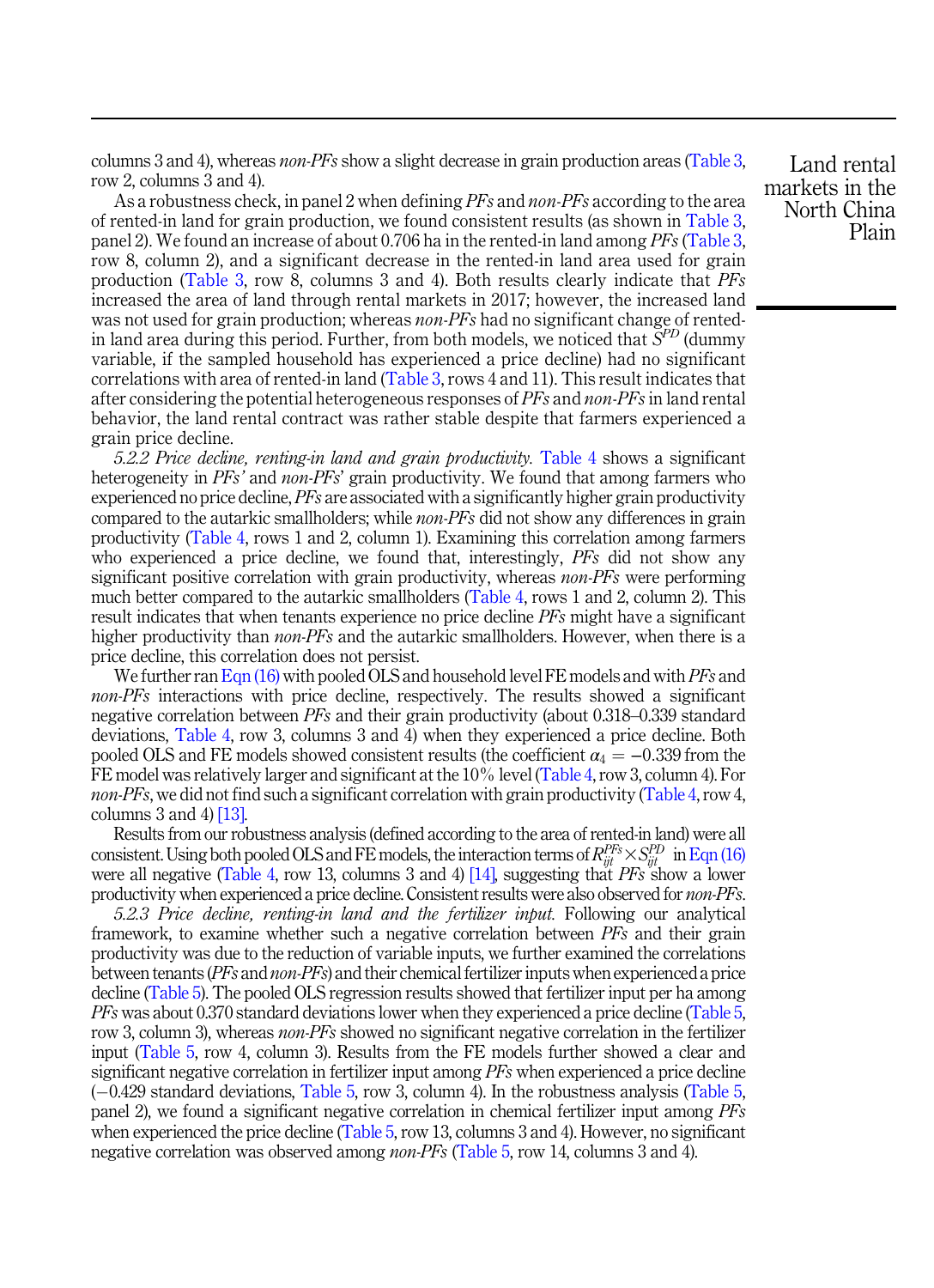columns 3 and 4), whereas *non-PFs* show a slight decrease in grain production areas [\(Table 3](#page-14-0), row 2, columns 3 and 4).

As a robustness check, in panel 2 when defining PFs and non-PFs according to the area of rented-in land for grain production, we found consistent results (as shown in [Table 3](#page-14-0), panel 2). We found an increase of about 0.706 ha in the rented-in land among PFs ([Table 3](#page-14-0), row 8, column 2), and a significant decrease in the rented-in land area used for grain production ([Table 3,](#page-14-0) row 8, columns 3 and 4). Both results clearly indicate that PFs increased the area of land through rental markets in 2017; however, the increased land was not used for grain production; whereas *non-PFs* had no significant change of rentedin land area during this period. Further, from both models, we noticed that  $\breve{S}^{PD}$  (dummy variable, if the sampled household has experienced a price decline) had no significant correlations with area of rented-in land ([Table 3,](#page-14-0) rows 4 and 11). This result indicates that after considering the potential heterogeneous responses of  $PFs$  and non- $PFs$  in land rental behavior, the land rental contract was rather stable despite that farmers experienced a grain price decline.

5.2.2 Price decline, renting-in land and grain productivity. [Table 4](#page-16-0) shows a significant heterogeneity in PFs' and non-PFs' grain productivity. We found that among farmers who experienced no price decline,  $PFs$  are associated with a significantly higher grain productivity compared to the autarkic smallholders; while *non-PFs* did not show any differences in grain productivity [\(Table 4](#page-16-0), rows 1 and 2, column 1). Examining this correlation among farmers who experienced a price decline, we found that, interestingly, PFs did not show any significant positive correlation with grain productivity, whereas *non-PFs* were performing much better compared to the autarkic smallholders ([Table 4,](#page-16-0) rows 1 and 2, column 2). This result indicates that when tenants experience no price decline PFs might have a significant higher productivity than *non-PFs* and the autarkic smallholders. However, when there is a price decline, this correlation does not persist.

We further ran [Eqn \(16\)](#page-11-0) with pooled OLS and household level FE models and with PFs and non-PFs interactions with price decline, respectively. The results showed a significant negative correlation between PFs and their grain productivity (about 0.318–0.339 standard deviations, [Table 4,](#page-16-0) row 3, columns 3 and 4) when they experienced a price decline. Both *non-PFs* interactions with price decline, respectively. The results showed a significant negative correlation between *PFs* and their grain productivity (about 0.318–0.339 standard deviations, Table 4, row 3, columns 3 a FE model was relatively larger and significant at the 10% level [\(Table 4](#page-16-0), row 3, column 4). For non-PFs, we did not find such a significant correlation with grain productivity [\(Table 4,](#page-16-0) row 4, columns 3 and 4)  $[13]$ .

Results from our robustness analysis (defined according to the area of rented-in land) were all consistent. Using both pooled OLS and FE models, the interaction terms of  $R_{ijt}^{PF_3}\times S_{ijt}^{PD}$  in [Eqn \(16\)](#page-11-0) were all negative [\(Table 4](#page-16-0), row 13, columns 3 and 4) [\[14\]](#page-20-0), suggesting that PFs show a lower productivity when experienced a price decline. Consistent results were also observed for non-PFs.

5.2.3 Price decline, renting-in land and the fertilizer input. Following our analytical framework, to examine whether such a negative correlation between PFs and their grain productivity was due to the reduction of variable inputs, we further examined the correlations between tenants (PFs and non-PFs) and their chemical fertilizer inputs when experienced a price decline [\(Table 5](#page-17-0)). The pooled OLS regression results showed that fertilizer input per ha among PFs was about 0.370 standard deviations lower when they experienced a price decline [\(Table 5](#page-17-0), row 3, column 3), whereas *non-PFs* showed no significant negative correlation in the fertilizer input ([Table 5,](#page-17-0) row 4, column 3). Results from the FE models further showed a clear and significant negative correlation in fertilizer input among PFs when experienced a price decline (-0.429 standard deviations, [Table 5](#page-17-0), row 3, column 4). In the robustness analysis [\(Table 5](#page-17-0), panel 2), we found a significant negative correlation in chemical fertilizer input among PFs when experienced the price decline [\(Table 5](#page-17-0), row 13, columns 3 and 4). However, no significant negative correlation was observed among non-PFs [\(Table 5](#page-17-0), row 14, columns 3 and 4).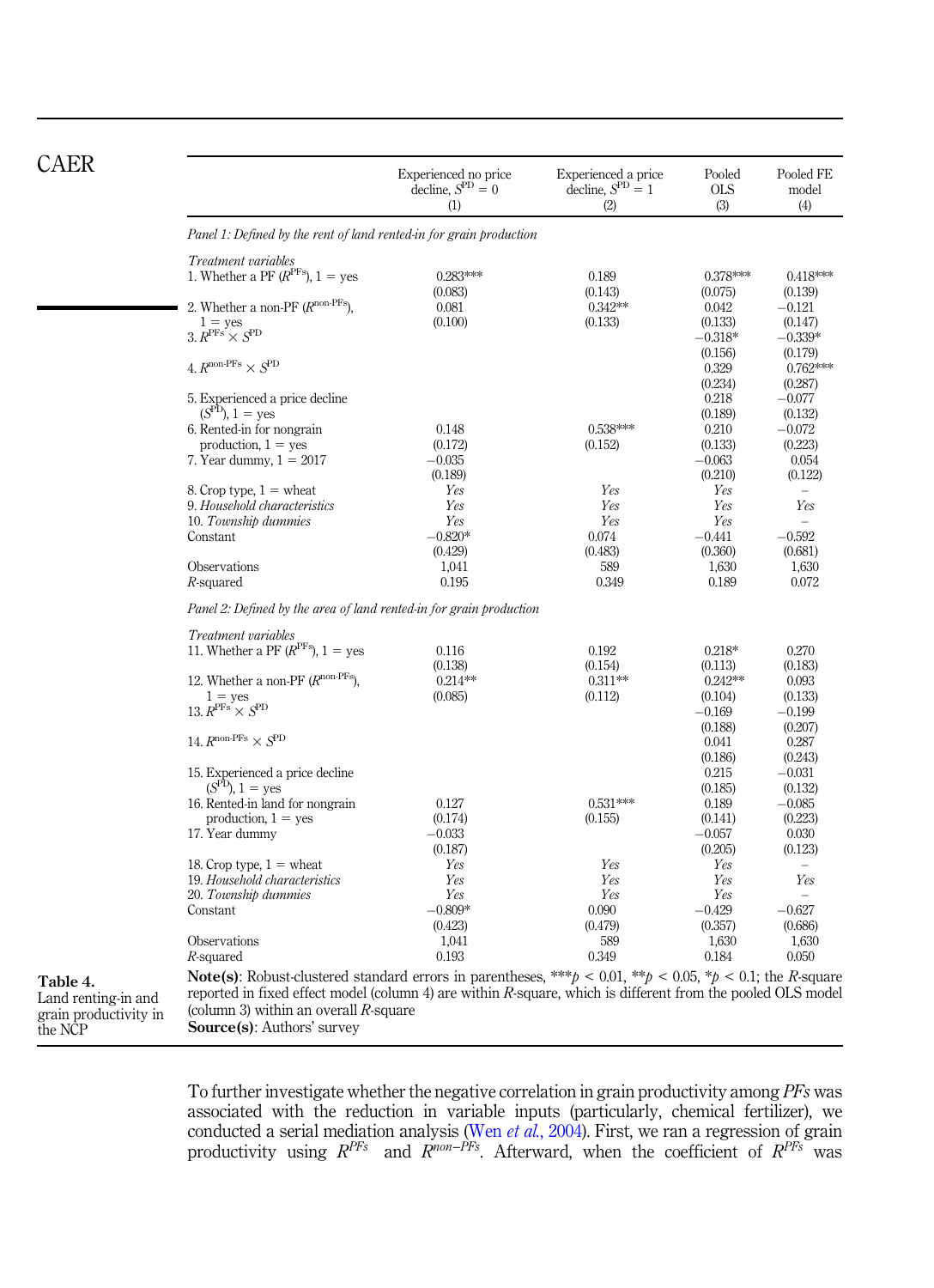<span id="page-16-0"></span>

| <b>CAER</b>                                                         |                                                                                                                                                                                                                                                                                                                                 | Experienced no price<br>decline, $S^{PD} = 0$<br>(1) | Experienced a price<br>decline, $S^{PD} = 1$<br>(2) | Pooled<br>OLS<br>(3)                     | Pooled FE<br>model<br>(4)                    |
|---------------------------------------------------------------------|---------------------------------------------------------------------------------------------------------------------------------------------------------------------------------------------------------------------------------------------------------------------------------------------------------------------------------|------------------------------------------------------|-----------------------------------------------------|------------------------------------------|----------------------------------------------|
|                                                                     | Panel 1: Defined by the rent of land rented in for grain production                                                                                                                                                                                                                                                             |                                                      |                                                     |                                          |                                              |
|                                                                     | Treatment variables<br>1. Whether a PF $(RPFS)$ , 1 = yes                                                                                                                                                                                                                                                                       | $0.283***$                                           | 0.189                                               | $0.378***$                               | $0.418***$                                   |
|                                                                     | 2. Whether a non-PF $(R^{\text{non-PFs}})$ ,<br>$1 = yes$                                                                                                                                                                                                                                                                       | (0.083)<br>0.081<br>(0.100)                          | (0.143)<br>$0.342**$<br>(0.133)                     | (0.075)<br>0.042<br>(0.133)              | (0.139)<br>$-0.121$<br>(0.147)               |
|                                                                     | 3. $R^{PFs} \times S^{PD}$<br>4. $R^{\text{non-PFs}} \times S^{\text{PD}}$                                                                                                                                                                                                                                                      |                                                      |                                                     | $-0.318*$<br>(0.156)<br>0.329            | $-0.339*$<br>(0.179)<br>0.762***             |
|                                                                     | 5. Experienced a price decline                                                                                                                                                                                                                                                                                                  |                                                      |                                                     | (0.234)<br>0.218                         | (0.287)<br>$-0.077$                          |
|                                                                     | $(S^{PD})$ , 1 = yes<br>6. Rented in for nongrain<br>production, $1 = yes$                                                                                                                                                                                                                                                      | 0.148<br>(0.172)                                     | $0.538***$<br>(0.152)                               | (0.189)<br>0.210<br>(0.133)              | (0.132)<br>$-0.072$<br>(0.223)               |
|                                                                     | 7. Year dummy, $1 = 2017$<br>8. Crop type, $1 =$ wheat                                                                                                                                                                                                                                                                          | $-0.035$<br>(0.189)<br>Yes                           | Yes                                                 | $-0.063$<br>(0.210)<br>Yes               | 0.054<br>(0.122)<br>$\overline{\phantom{0}}$ |
|                                                                     | 9. Household characteristics<br>10. Township dummies<br>Constant                                                                                                                                                                                                                                                                | Yes<br>Yes<br>$-0.820*$<br>(0.429)                   | Yes<br>Yes<br>0.074<br>(0.483)                      | Yes<br>Yes<br>$-0.441$                   | Yes<br>$-0.592$                              |
|                                                                     | Observations<br>$R$ -squared                                                                                                                                                                                                                                                                                                    | 1,041<br>0.195                                       | 589<br>0.349                                        | (0.360)<br>1,630<br>0.189                | (0.681)<br>1,630<br>0.072                    |
|                                                                     | Panel 2: Defined by the area of land rented in for grain production                                                                                                                                                                                                                                                             |                                                      |                                                     |                                          |                                              |
|                                                                     | Treatment variables<br>11. Whether a PF $(RPFs)$ , 1 = yes                                                                                                                                                                                                                                                                      | 0.116<br>(0.138)                                     | 0.192<br>(0.154)                                    | $0.218*$<br>(0.113)                      | 0.270<br>(0.183)                             |
|                                                                     | 12. Whether a non-PF $(R^{\text{non-PFS}})$ ,<br>$1 = \text{yes}$<br>13. $R^{\text{PFs}} \times S^{\text{PD}}$                                                                                                                                                                                                                  | $0.214**$<br>(0.085)                                 | $0.311**$<br>(0.112)                                | $0.242**$<br>(0.104)<br>$-0.169$         | 0.093<br>(0.133)<br>$-0.199$                 |
|                                                                     | 14. $R^{\text{non-PFs}} \times S^{\text{PD}}$                                                                                                                                                                                                                                                                                   |                                                      |                                                     | (0.188)<br>0.041<br>(0.186)              | (0.207)<br>0.287<br>(0.243)                  |
|                                                                     | 15. Experienced a price decline<br>$(S^{PD})$ , 1 = yes                                                                                                                                                                                                                                                                         |                                                      |                                                     | 0.215<br>(0.185)                         | $-0.031$<br>(0.132)                          |
|                                                                     | 16. Rented-in land for nongrain<br>production, $1 = yes$<br>17. Year dummy                                                                                                                                                                                                                                                      | 0.127<br>(0.174)<br>$-0.033$                         | $0.531***$<br>(0.155)                               | 0.189<br>(0.141)<br>$-0.057$             | $-0.085$<br>(0.223)<br>0.030                 |
|                                                                     | 18. Crop type, $1 =$ wheat<br>19. Household characteristics<br>20. Township dummies<br>Constant                                                                                                                                                                                                                                 | (0.187)<br>Yes<br>Yes<br>Yes<br>$-0.809*$            | Yes<br>Yes<br>Yes<br>0.090                          | (0.205)<br>Yes<br>Yes<br>Yes<br>$-0.429$ | (0.123)<br>Yes<br>$-0.627$                   |
|                                                                     | Observations<br>$R$ -squared                                                                                                                                                                                                                                                                                                    | (0.423)<br>1,041<br>0.193                            | (0.479)<br>589<br>0.349                             | (0.357)<br>1,630<br>0.184                | (0.686)<br>1,630<br>0.050                    |
| Table 4.<br>Land renting-in and<br>grain productivity in<br>the NCP | <b>Note(s):</b> Robust-clustered standard errors in parentheses, *** $p < 0.01$ , ** $p < 0.05$ , * $p < 0.1$ ; the R-square<br>reported in fixed effect model (column 4) are within $R$ -square, which is different from the pooled OLS model<br>(column 3) within an overall $R$ -square<br><b>Source(s):</b> Authors' survey |                                                      |                                                     |                                          |                                              |

To further investigate whether the negative correlation in grain productivity among PFs was associated with the reduction in variable inputs (particularly, chemical fertilizer), we conducted a serial mediation analysis (Wen *et al.*[, 2004\)](#page-23-0). First, we ran a regression of grain associated with the reduction in variable inputs (particularly, chemical fertilizer), we conducted a serial mediation analysis (Wen *et al.*, 2004). First, we ran a regression of grain productivity using  $R^{PFS}$  and  $R^{non-P$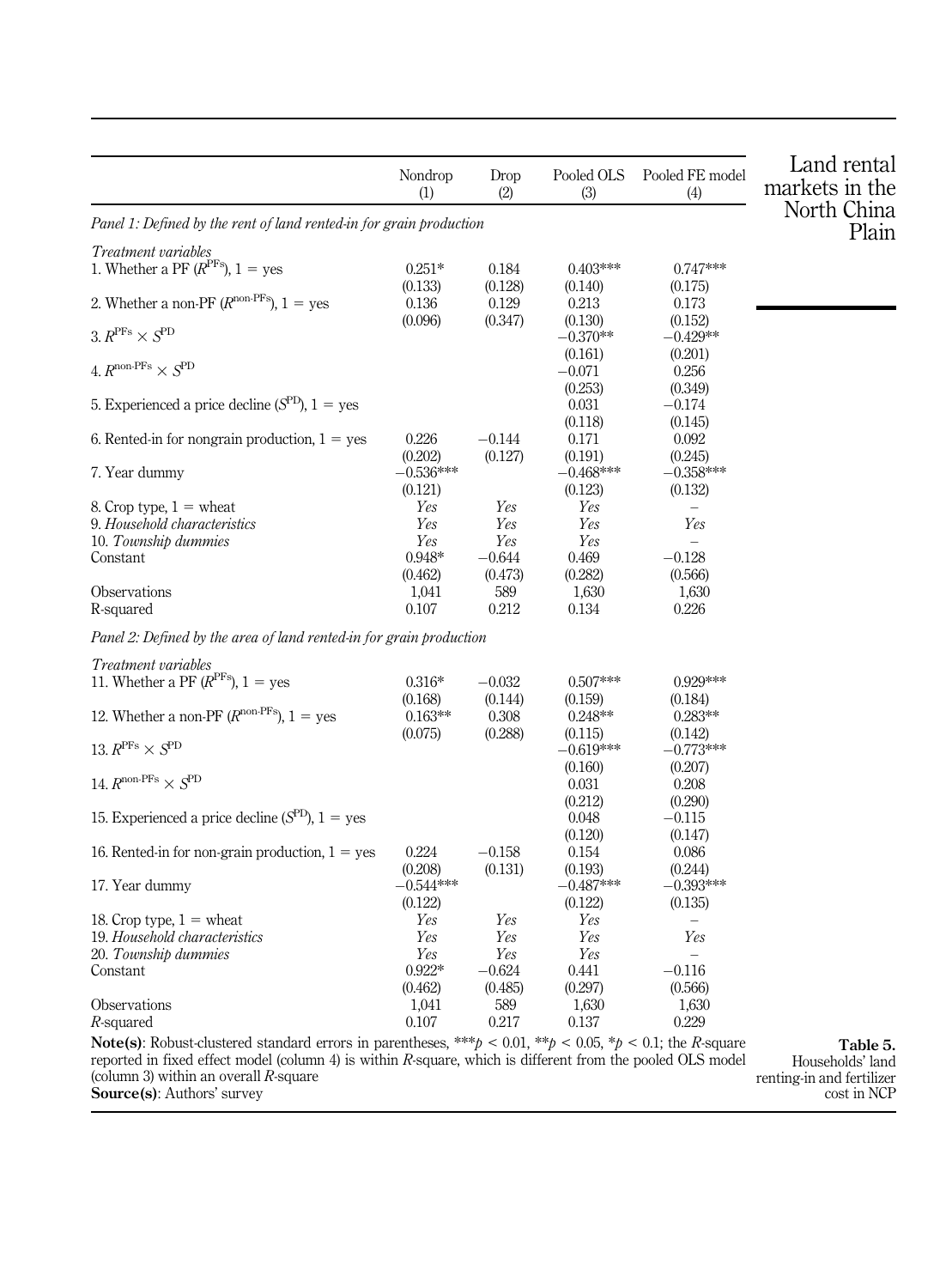<span id="page-17-0"></span>

|                                                                                                                                                                                                                                                                                                                              | Nondrop<br>(1)                  | Drop<br>(2)                 | Pooled OLS<br>(3)               | Pooled FE model<br>(4)          | Land rental<br>markets in the                                            |
|------------------------------------------------------------------------------------------------------------------------------------------------------------------------------------------------------------------------------------------------------------------------------------------------------------------------------|---------------------------------|-----------------------------|---------------------------------|---------------------------------|--------------------------------------------------------------------------|
| Panel 1: Defined by the rent of land rented-in for grain production                                                                                                                                                                                                                                                          |                                 |                             |                                 |                                 | North China<br>Plain                                                     |
| Treatment variables<br>1. Whether a PF $(RPFs)$ , 1 = yes                                                                                                                                                                                                                                                                    | $0.251*$                        | 0.184                       | $0.403***$                      | $0.747***$                      |                                                                          |
| 2. Whether a non-PF $(R^{\text{non-PFs}})$ , 1 = yes                                                                                                                                                                                                                                                                         | (0.133)<br>0.136<br>(0.096)     | (0.128)<br>0.129<br>(0.347) | (0.140)<br>0.213<br>(0.130)     | (0.175)<br>0.173<br>(0.152)     |                                                                          |
| 3. $RPFs \times SPD$                                                                                                                                                                                                                                                                                                         |                                 |                             | $-0.370**$<br>(0.161)           | $-0.429**$<br>(0.201)           |                                                                          |
| 4. $R^{\text{non-PFs}} \times S^{\text{PD}}$                                                                                                                                                                                                                                                                                 |                                 |                             | $-0.071$<br>(0.253)             | 0.256<br>(0.349)                |                                                                          |
| 5. Experienced a price decline $(S^{PD})$ , 1 = yes                                                                                                                                                                                                                                                                          |                                 |                             | 0.031<br>(0.118)                | $-0.174$<br>(0.145)             |                                                                          |
| 6. Rented-in for nongrain production, $1 = yes$                                                                                                                                                                                                                                                                              | 0.226<br>(0.202)                | $-0.144$<br>(0.127)         | 0.171<br>(0.191)                | 0.092<br>(0.245)                |                                                                          |
| 7. Year dummy                                                                                                                                                                                                                                                                                                                | $-0.536***$<br>(0.121)          |                             | $-0.468***$<br>(0.123)          | $-0.358***$<br>(0.132)          |                                                                          |
| 8. Crop type, $1 =$ wheat<br>9. Household characteristics                                                                                                                                                                                                                                                                    | Yes<br>Yes                      | Yes<br>Yes                  | Yes<br>Yes                      | Yes                             |                                                                          |
| 10. Township dummies<br>Constant                                                                                                                                                                                                                                                                                             | Yes<br>$0.948*$<br>(0.462)      | Yes<br>$-0.644$<br>(0.473)  | Yes<br>0.469<br>(0.282)         | $-0.128$<br>(0.566)             |                                                                          |
| Observations<br>R-squared                                                                                                                                                                                                                                                                                                    | 1,041<br>0.107                  | 589<br>0.212                | 1,630<br>0.134                  | 1,630<br>0.226                  |                                                                          |
| Panel 2: Defined by the area of land rented-in for grain production                                                                                                                                                                                                                                                          |                                 |                             |                                 |                                 |                                                                          |
| Treatment variables<br>11. Whether a PF $(RPFs)$ , 1 = yes                                                                                                                                                                                                                                                                   | $0.316*$                        | $-0.032$                    | $0.507***$                      | $0.929***$                      |                                                                          |
| 12. Whether a non-PF $(R^{\text{non-PFs}})$ , 1 = yes                                                                                                                                                                                                                                                                        | (0.168)<br>$0.163**$<br>(0.075) | (0.144)<br>0.308<br>(0.288) | (0.159)<br>$0.248**$<br>(0.115) | (0.184)<br>$0.283**$<br>(0.142) |                                                                          |
| 13. $R^{\rm PFs}\times S^{\rm PD}$                                                                                                                                                                                                                                                                                           |                                 |                             | $-0.619***$                     | $-0.773***$                     |                                                                          |
| 14. $R^{\text{non-PFs}} \times S^{\text{PD}}$                                                                                                                                                                                                                                                                                |                                 |                             | (0.160)<br>0.031<br>(0.212)     | (0.207)<br>0.208<br>(0.290)     |                                                                          |
| 15. Experienced a price decline ( $S^{PD}$ ), 1 = yes                                                                                                                                                                                                                                                                        |                                 |                             | 0.048<br>(0.120)                | $-0.115$<br>(0.147)             |                                                                          |
| 16. Rented-in for non-grain production, $1 = yes$                                                                                                                                                                                                                                                                            | 0.224<br>(0.208)                | $-0.158$<br>(0.131)         | 0.154<br>(0.193)                | 0.086<br>(0.244)                |                                                                          |
| 17. Year dummy                                                                                                                                                                                                                                                                                                               | $-0.544***$<br>(0.122)          |                             | $-0.487***$<br>(0.122)          | $-0.393***$<br>(0.135)          |                                                                          |
| 18. Crop type, $1 =$ wheat                                                                                                                                                                                                                                                                                                   | Yes                             | Yes                         | Yes                             |                                 |                                                                          |
| 19. Household characteristics                                                                                                                                                                                                                                                                                                | Yes                             | Yes                         | Yes                             | Yes                             |                                                                          |
| 20. Township dummies                                                                                                                                                                                                                                                                                                         | Yes                             | Yes                         | Yes                             |                                 |                                                                          |
| Constant                                                                                                                                                                                                                                                                                                                     | $0.922*$                        | $-0.624$                    | 0.441                           | $-0.116$                        |                                                                          |
|                                                                                                                                                                                                                                                                                                                              |                                 |                             |                                 |                                 |                                                                          |
|                                                                                                                                                                                                                                                                                                                              | (0.462)                         | (0.485)                     | (0.297)                         | (0.566)                         |                                                                          |
| Observations                                                                                                                                                                                                                                                                                                                 | 1,041                           | 589                         | 1,630                           | 1,630                           |                                                                          |
| R-squared                                                                                                                                                                                                                                                                                                                    | 0.107                           | 0.217                       | 0.137                           | 0.229                           |                                                                          |
| <b>Note(s):</b> Robust-clustered standard errors in parentheses, *** $p < 0.01$ , ** $p < 0.05$ , * $p < 0.1$ ; the R-square<br>reported in fixed effect model (column 4) is within R-square, which is different from the pooled OLS model<br>(column 3) within an overall $R$ -square<br><b>Source(s)</b> : Authors' survey |                                 |                             |                                 |                                 | Table 5.<br>Households' land<br>renting-in and fertilizer<br>cost in NCP |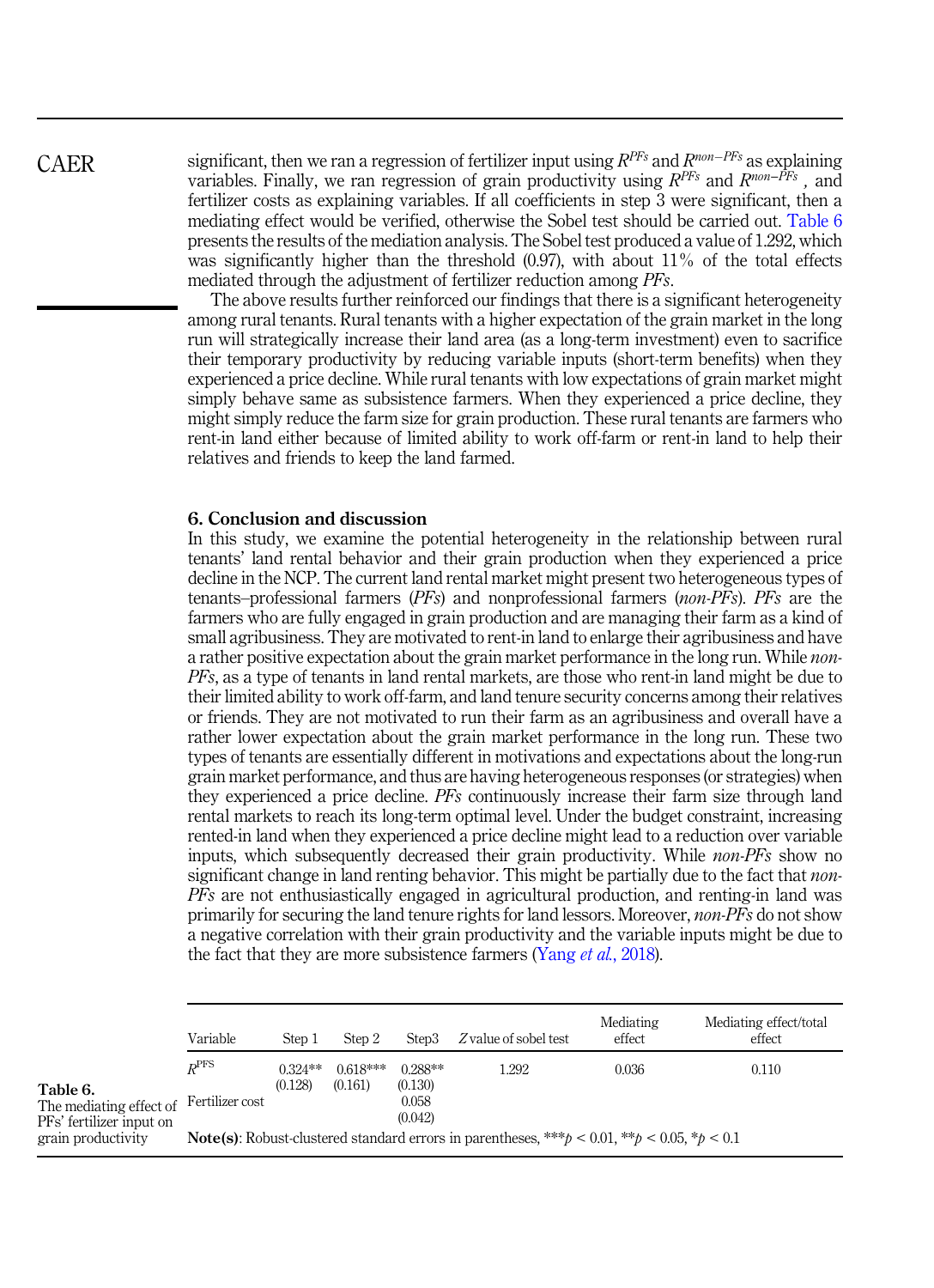<span id="page-18-0"></span>significant, then we ran a regression of fertilizer input using  $R^{PFs}$  and  $R^{non-PFs}$  as explaining significant, then we ran a regression of fertilizer input using  $R^{PFs}$  and  $R^{non-PFs}$  as explaining variables. Finally, we ran regression of grain productivity using  $R^{PFs}$  and  $R^{non-PFs}$  , and fertilizer costs as explaining variables. If all coefficients in step 3 were significant, then a mediating effect would be verified, otherwise the Sobel test should be carried out. Table 6 presents the results of the mediation analysis. The Sobel test produced a value of 1.292, which was significantly higher than the threshold  $(0.97)$ , with about  $11\%$  of the total effects mediated through the adjustment of fertilizer reduction among PFs.

The above results further reinforced our findings that there is a significant heterogeneity among rural tenants. Rural tenants with a higher expectation of the grain market in the long run will strategically increase their land area (as a long-term investment) even to sacrifice their temporary productivity by reducing variable inputs (short-term benefits) when they experienced a price decline. While rural tenants with low expectations of grain market might simply behave same as subsistence farmers. When they experienced a price decline, they might simply reduce the farm size for grain production. These rural tenants are farmers who rent-in land either because of limited ability to work off-farm or rent-in land to help their relatives and friends to keep the land farmed.

## 6. Conclusion and discussion

In this study, we examine the potential heterogeneity in the relationship between rural tenants' land rental behavior and their grain production when they experienced a price decline in the NCP. The current land rental market might present two heterogeneous types of tenants–professional farmers (PFs) and nonprofessional farmers (non-PFs). PFs are the farmers who are fully engaged in grain production and are managing their farm as a kind of small agribusiness. They are motivated to rent-in land to enlarge their agribusiness and have a rather positive expectation about the grain market performance in the long run. While *non*-PFs, as a type of tenants in land rental markets, are those who rent-in land might be due to their limited ability to work off-farm, and land tenure security concerns among their relatives or friends. They are not motivated to run their farm as an agribusiness and overall have a rather lower expectation about the grain market performance in the long run. These two types of tenants are essentially different in motivations and expectations about the long-run grain market performance, and thus are having heterogeneous responses (or strategies) when they experienced a price decline. PFs continuously increase their farm size through land rental markets to reach its long-term optimal level. Under the budget constraint, increasing rented-in land when they experienced a price decline might lead to a reduction over variable inputs, which subsequently decreased their grain productivity. While non-PFs show no significant change in land renting behavior. This might be partially due to the fact that *non*-PFs are not enthusiastically engaged in agricultural production, and renting-in land was primarily for securing the land tenure rights for land lessors. Moreover, non-PFs do not show a negative correlation with their grain productivity and the variable inputs might be due to the fact that they are more subsistence farmers (Yang *et al.*[, 2018\)](#page-23-0).

|                                                                                       | Variable                              | Step 1               | Step 2                | Step <sub>3</sub>                        | Z value of sobel test                                                                                                  | Mediating<br>effect | Mediating effect/total<br>effect |
|---------------------------------------------------------------------------------------|---------------------------------------|----------------------|-----------------------|------------------------------------------|------------------------------------------------------------------------------------------------------------------------|---------------------|----------------------------------|
| Table 6.<br>The mediating effect of<br>PFs' fertilizer input on<br>grain productivity | $R$ <sup>PFS</sup><br>Fertilizer cost | $0.324**$<br>(0.128) | $0.618***$<br>(0.161) | $0.288**$<br>(0.130)<br>0.058<br>(0.042) | 1.292<br><b>Note(s):</b> Robust-clustered standard errors in parentheses, *** $p < 0.01$ , ** $p < 0.05$ , * $p < 0.1$ | 0.036               | 0.110                            |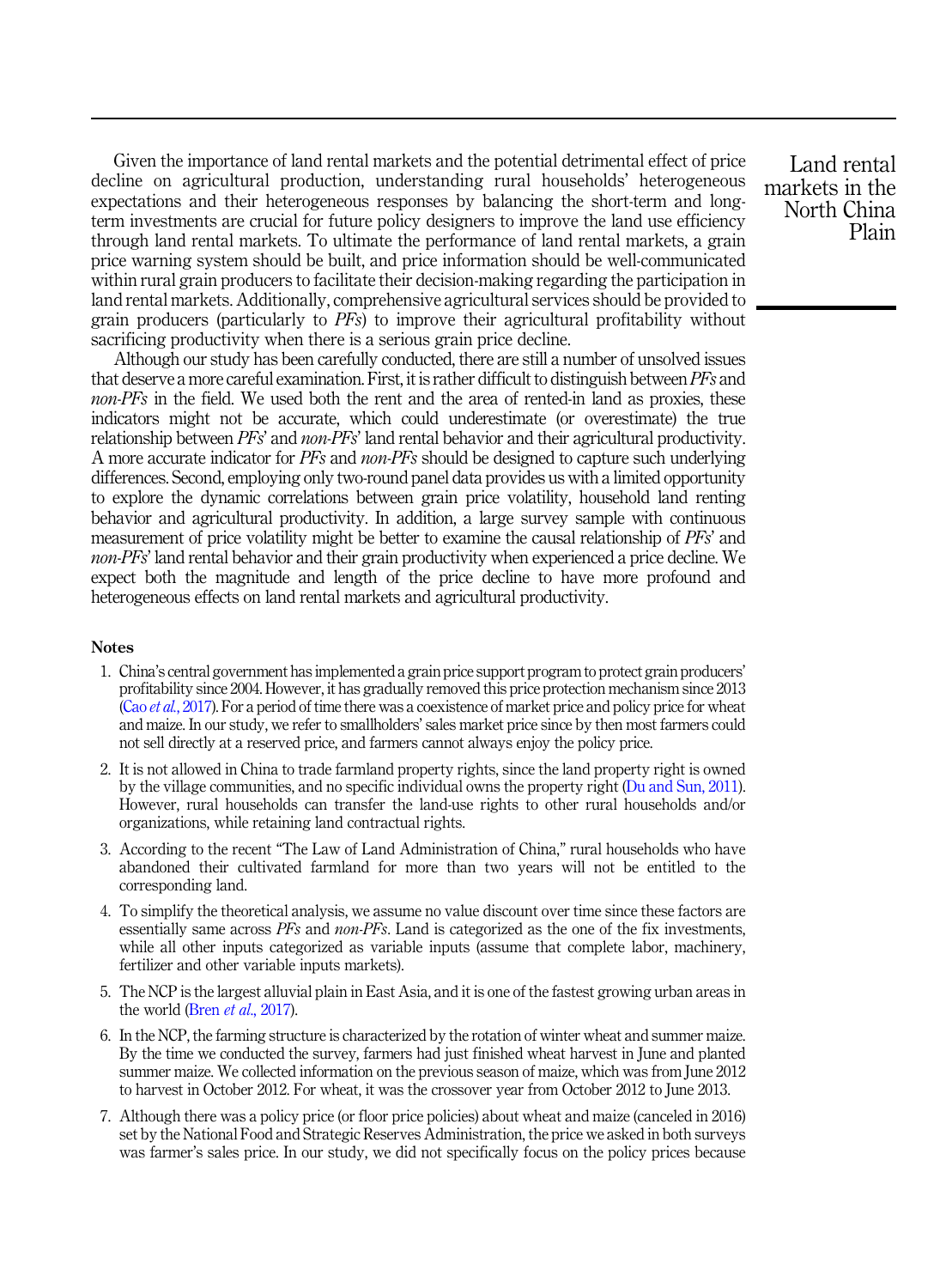<span id="page-19-0"></span>Given the importance of land rental markets and the potential detrimental effect of price decline on agricultural production, understanding rural households' heterogeneous expectations and their heterogeneous responses by balancing the short-term and longterm investments are crucial for future policy designers to improve the land use efficiency through land rental markets. To ultimate the performance of land rental markets, a grain price warning system should be built, and price information should be well-communicated within rural grain producers to facilitate their decision-making regarding the participation in land rental markets. Additionally, comprehensive agricultural services should be provided to grain producers (particularly to PFs) to improve their agricultural profitability without sacrificing productivity when there is a serious grain price decline.

Although our study has been carefully conducted, there are still a number of unsolved issues that deserve a more careful examination. First, it is rather difficult to distinguish between PFs and non-PFs in the field. We used both the rent and the area of rented-in land as proxies, these indicators might not be accurate, which could underestimate (or overestimate) the true relationship between PFs' and non-PFs' land rental behavior and their agricultural productivity. A more accurate indicator for PFs and non-PFs should be designed to capture such underlying differences. Second, employing only two-round panel data provides us with a limited opportunity to explore the dynamic correlations between grain price volatility, household land renting behavior and agricultural productivity. In addition, a large survey sample with continuous measurement of price volatility might be better to examine the causal relationship of PFs' and non-PFs' land rental behavior and their grain productivity when experienced a price decline. We expect both the magnitude and length of the price decline to have more profound and heterogeneous effects on land rental markets and agricultural productivity.

#### **Notes**

- 1. China's central government has implemented a grain price support program to protect grain producers' profitability since 2004. However, it has gradually removed this price protection mechanism since 2013 (Cao et al.[, 2017\)](#page-20-0). For a period of time there was a coexistence of market price and policy price for wheat and maize. In our study, we refer to smallholders' sales market price since by then most farmers could not sell directly at a reserved price, and farmers cannot always enjoy the policy price.
- 2. It is not allowed in China to trade farmland property rights, since the land property right is owned by the village communities, and no specific individual owns the property right ([Du and Sun, 2011](#page-21-0)). However, rural households can transfer the land-use rights to other rural households and/or organizations, while retaining land contractual rights.
- 3. According to the recent "The Law of Land Administration of China," rural households who have abandoned their cultivated farmland for more than two years will not be entitled to the corresponding land.
- 4. To simplify the theoretical analysis, we assume no value discount over time since these factors are essentially same across PFs and non-PFs. Land is categorized as the one of the fix investments, while all other inputs categorized as variable inputs (assume that complete labor, machinery, fertilizer and other variable inputs markets).
- 5. The NCP is the largest alluvial plain in East Asia, and it is one of the fastest growing urban areas in the world (Bren et al[., 2017\)](#page-20-0).
- 6. In the NCP, the farming structure is characterized by the rotation of winter wheat and summer maize. By the time we conducted the survey, farmers had just finished wheat harvest in June and planted summer maize. We collected information on the previous season of maize, which was from June 2012 to harvest in October 2012. For wheat, it was the crossover year from October 2012 to June 2013.
- 7. Although there was a policy price (or floor price policies) about wheat and maize (canceled in 2016) set by the National Food and Strategic Reserves Administration, the price we asked in both surveys was farmer's sales price. In our study, we did not specifically focus on the policy prices because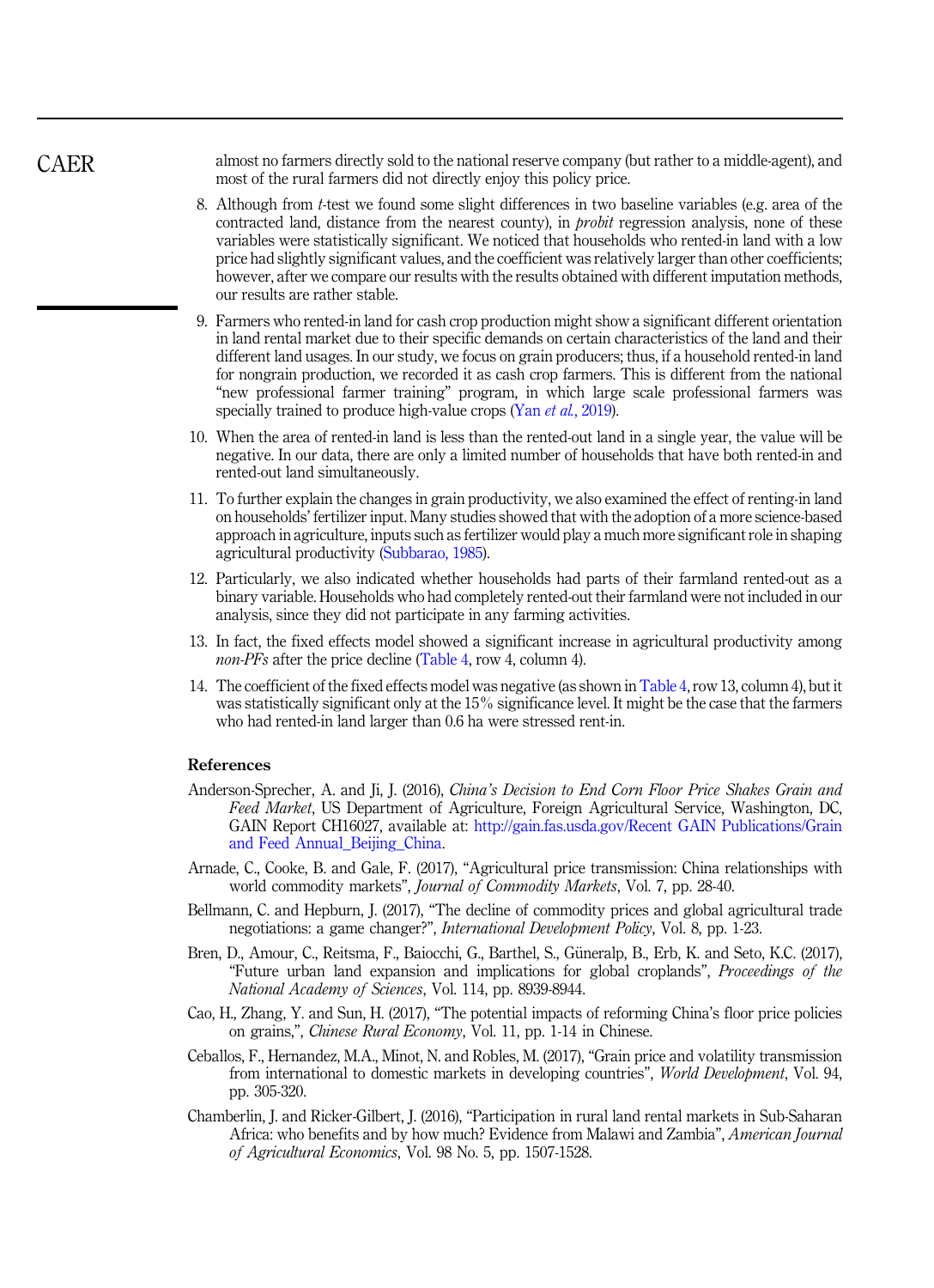almost no farmers directly sold to the national reserve company (but rather to a middle-agent), and most of the rural farmers did not directly enjoy this policy price.

- 8. Although from t-test we found some slight differences in two baseline variables (e.g. area of the contracted land, distance from the nearest county), in *brobit* regression analysis, none of these variables were statistically significant. We noticed that households who rented-in land with a low price had slightly significant values, and the coefficient was relatively larger than other coefficients; however, after we compare our results with the results obtained with different imputation methods, our results are rather stable.
- 9. Farmers who rented-in land for cash crop production might show a significant different orientation in land rental market due to their specific demands on certain characteristics of the land and their different land usages. In our study, we focus on grain producers; thus, if a household rented-in land for nongrain production, we recorded it as cash crop farmers. This is different from the national "new professional farmer training" program, in which large scale professional farmers was specially trained to produce high-value crops (Yan *et al.*[, 2019](#page-23-0)).
- 10. When the area of rented-in land is less than the rented-out land in a single year, the value will be negative. In our data, there are only a limited number of households that have both rented-in and rented-out land simultaneously.
- 11. To further explain the changes in grain productivity, we also examined the effect of renting-in land on households' fertilizer input. Many studies showed that with the adoption of a more science-based approach in agriculture, inputs such as fertilizer would play a much more significant role in shaping agricultural productivity ([Subbarao, 1985](#page-22-0)).
- 12. Particularly, we also indicated whether households had parts of their farmland rented-out as a binary variable. Households who had completely rented-out their farmland were not included in our analysis, since they did not participate in any farming activities.
- 13. In fact, the fixed effects model showed a significant increase in agricultural productivity among non-PFs after the price decline ([Table 4,](#page-16-0) row 4, column 4).
- 14. The coefficient of the fixed effects model was negative (as shown in [Table 4,](#page-16-0) row 13, column 4), but it was statistically significant only at the 15% significance level. It might be the case that the farmers who had rented-in land larger than 0.6 ha were stressed rent-in.

#### References

- Anderson-Sprecher, A. and Ji, J. (2016), China's Decision to End Corn Floor Price Shakes Grain and Feed Market, US Department of Agriculture, Foreign Agricultural Service, Washington, DC, GAIN Report CH16027, available at: [http://gain.fas.usda.gov/Recent GAIN Publications/Grain](http://gain.fas.usda.gov/Recent%20GAIN%20Publications/Grain%20and%20Feed%20Annual_Beijing_China) [and Feed Annual\\_Beijing\\_China](http://gain.fas.usda.gov/Recent%20GAIN%20Publications/Grain%20and%20Feed%20Annual_Beijing_China).
- Arnade, C., Cooke, B. and Gale, F. (2017), "Agricultural price transmission: China relationships with world commodity markets", Journal of Commodity Markets, Vol. 7, pp. 28-40.
- Bellmann, C. and Hepburn, J. (2017), "The decline of commodity prices and global agricultural trade negotiations: a game changer?", International Development Policy, Vol. 8, pp. 1-23.
- Bren, D., Amour, C., Reitsma, F., Baiocchi, G., Barthel, S., Güneralp, B., Erb, K. and Seto, K.C. (2017), "Future urban land expansion and implications for global croplands", Proceedings of the National Academy of Sciences, Vol. 114, pp. 8939-8944.
- Cao, H., Zhang, Y. and Sun, H. (2017), "The potential impacts of reforming China's floor price policies on grains,", Chinese Rural Economy, Vol. 11, pp. 1-14 in Chinese.
- Ceballos, F., Hernandez, M.A., Minot, N. and Robles, M. (2017), "Grain price and volatility transmission from international to domestic markets in developing countries", World Development, Vol. 94, pp. 305-320.
- Chamberlin, J. and Ricker-Gilbert, J. (2016), "Participation in rural land rental markets in Sub-Saharan Africa: who benefits and by how much? Evidence from Malawi and Zambia", American Journal of Agricultural Economics, Vol. 98 No. 5, pp. 1507-1528.

# <span id="page-20-0"></span>CAER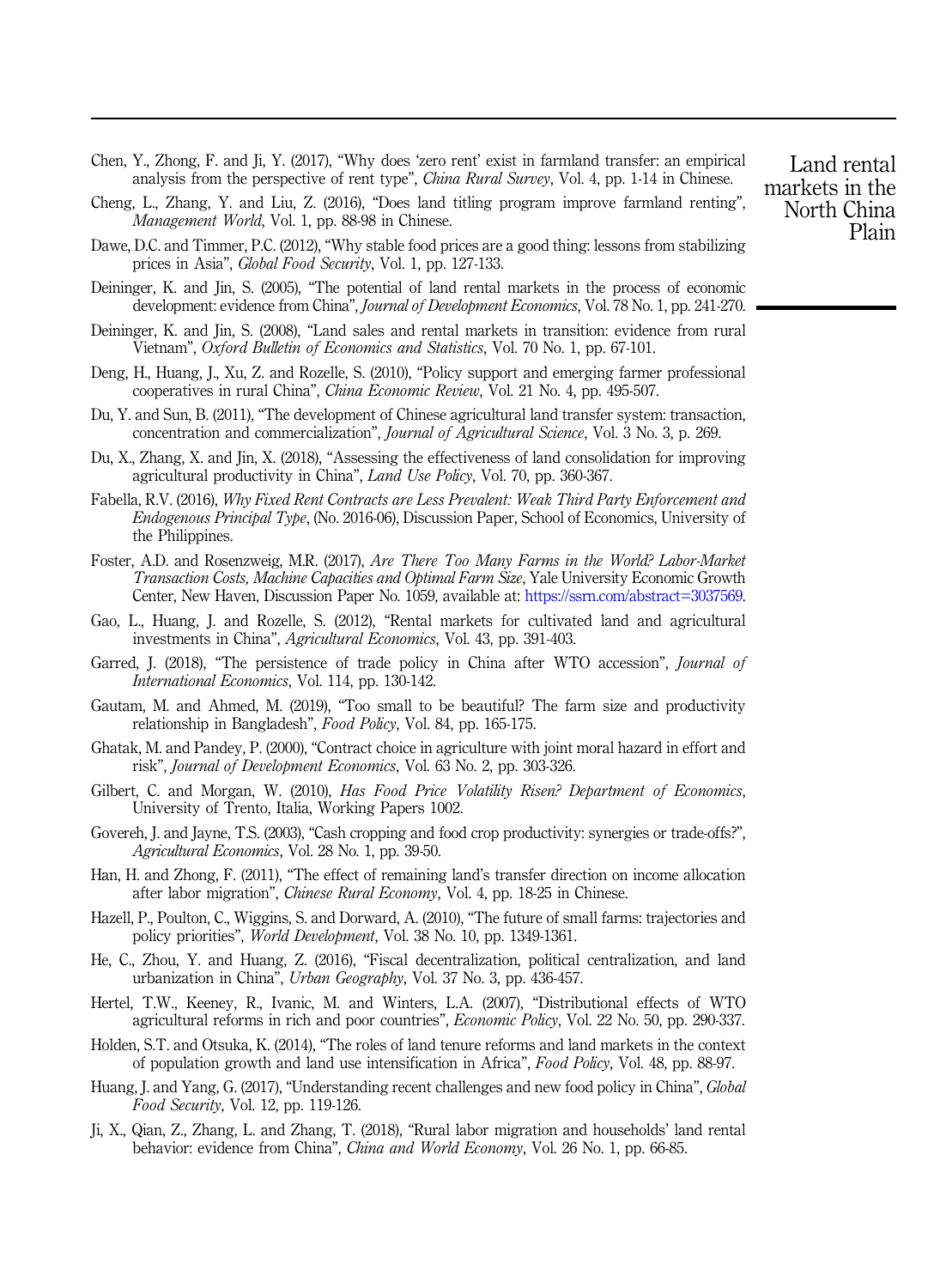- <span id="page-21-0"></span>Chen, Y., Zhong, F. and Ji, Y. (2017), "Why does 'zero rent' exist in farmland transfer: an empirical analysis from the perspective of rent type", China Rural Survey, Vol. 4, pp. 1-14 in Chinese.
- Cheng, L., Zhang, Y. and Liu, Z. (2016), "Does land titling program improve farmland renting", Management World, Vol. 1, pp. 88-98 in Chinese.
- Dawe, D.C. and Timmer, P.C. (2012), "Why stable food prices are a good thing: lessons from stabilizing prices in Asia", Global Food Security, Vol. 1, pp. 127-133.
- Deininger, K. and Jin, S. (2005), "The potential of land rental markets in the process of economic development: evidence from China", *Journal of Development Economics*, Vol. 78 No. 1, pp. 241-270.
- Deininger, K. and Jin, S. (2008), "Land sales and rental markets in transition: evidence from rural Vietnam", Oxford Bulletin of Economics and Statistics, Vol. 70 No. 1, pp. 67-101.
- Deng, H., Huang, J., Xu, Z. and Rozelle, S. (2010), "Policy support and emerging farmer professional cooperatives in rural China", China Economic Review, Vol. 21 No. 4, pp. 495-507.
- Du, Y. and Sun, B. (2011), "The development of Chinese agricultural land transfer system: transaction, concentration and commercialization", Journal of Agricultural Science, Vol. 3 No. 3, p. 269.
- Du, X., Zhang, X. and Jin, X. (2018), "Assessing the effectiveness of land consolidation for improving agricultural productivity in China", Land Use Policy, Vol. 70, pp. 360-367.
- Fabella, R.V. (2016), Why Fixed Rent Contracts are Less Prevalent: Weak Third Party Enforcement and Endogenous Principal Type, (No. 2016-06), Discussion Paper, School of Economics, University of the Philippines.
- Foster, A.D. and Rosenzweig, M.R. (2017), Are There Too Many Farms in the World? Labor-Market Transaction Costs, Machine Capacities and Optimal Farm Size, Yale University Economic Growth Center, New Haven, Discussion Paper No. 1059, available at: <https://ssrn.com/abstract=3037569>.
- Gao, L., Huang, J. and Rozelle, S. (2012), "Rental markets for cultivated land and agricultural investments in China", Agricultural Economics, Vol. 43, pp. 391-403.
- Garred, J. (2018), "The persistence of trade policy in China after WTO accession", *Journal of* International Economics, Vol. 114, pp. 130-142.
- Gautam, M. and Ahmed, M. (2019), "Too small to be beautiful? The farm size and productivity relationship in Bangladesh", Food Policy, Vol. 84, pp. 165-175.
- Ghatak, M. and Pandey, P. (2000), "Contract choice in agriculture with joint moral hazard in effort and risk", Journal of Development Economics, Vol. 63 No. 2, pp. 303-326.
- Gilbert, C. and Morgan, W. (2010), Has Food Price Volatility Risen? Department of Economics, University of Trento, Italia, Working Papers 1002.
- Govereh, J. and Jayne, T.S. (2003), "Cash cropping and food crop productivity: synergies or trade-offs?", Agricultural Economics, Vol. 28 No. 1, pp. 39-50.
- Han, H. and Zhong, F. (2011), "The effect of remaining land's transfer direction on income allocation after labor migration", Chinese Rural Economy, Vol. 4, pp. 18-25 in Chinese.
- Hazell, P., Poulton, C., Wiggins, S. and Dorward, A. (2010), "The future of small farms: trajectories and policy priorities", World Development, Vol. 38 No. 10, pp. 1349-1361.
- He, C., Zhou, Y. and Huang, Z. (2016), "Fiscal decentralization, political centralization, and land urbanization in China", Urban Geography, Vol. 37 No. 3, pp. 436-457.
- Hertel, T.W., Keeney, R., Ivanic, M. and Winters, L.A. (2007), "Distributional effects of WTO agricultural reforms in rich and poor countries", *Economic Policy*, Vol. 22 No. 50, pp. 290-337.
- Holden, S.T. and Otsuka, K. (2014), "The roles of land tenure reforms and land markets in the context of population growth and land use intensification in Africa", Food Policy, Vol. 48, pp. 88-97.
- Huang, J. and Yang, G. (2017), "Understanding recent challenges and new food policy in China", Global Food Security, Vol. 12, pp. 119-126.
- Ji, X., Qian, Z., Zhang, L. and Zhang, T. (2018), "Rural labor migration and households' land rental behavior: evidence from China", China and World Economy, Vol. 26 No. 1, pp. 66-85.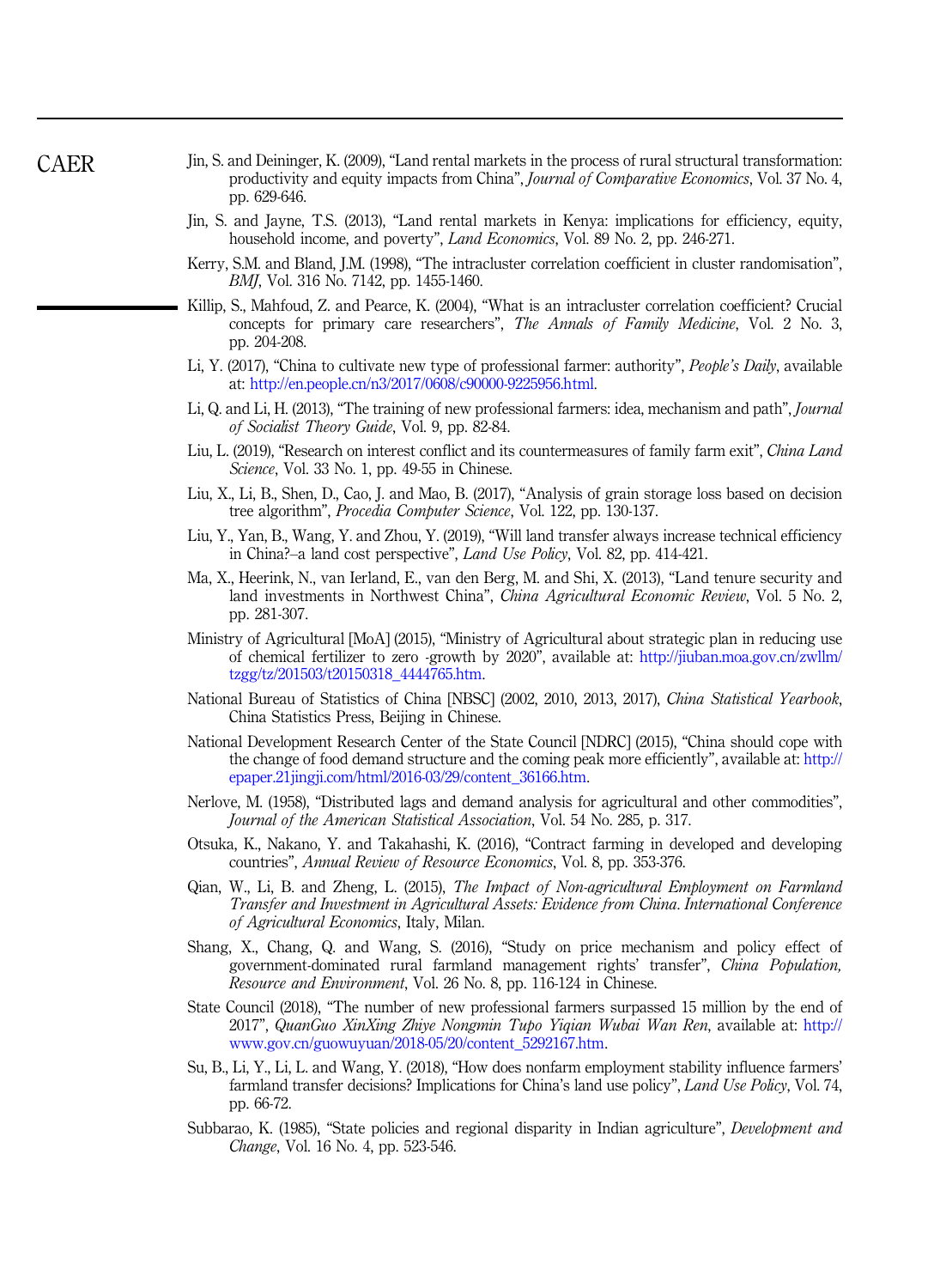- <span id="page-22-0"></span>Jin, S. and Deininger, K. (2009), "Land rental markets in the process of rural structural transformation: productivity and equity impacts from China", Journal of Comparative Economics, Vol. 37 No. 4, pp. 629-646.
- Jin, S. and Jayne, T.S. (2013), "Land rental markets in Kenya: implications for efficiency, equity, household income, and poverty", Land Economics, Vol. 89 No. 2, pp. 246-271.
- Kerry, S.M. and Bland, J.M. (1998), "The intracluster correlation coefficient in cluster randomisation", BMJ, Vol. 316 No. 7142, pp. 1455-1460.
- Killip, S., Mahfoud, Z. and Pearce, K. (2004), "What is an intracluster correlation coefficient? Crucial concepts for primary care researchers", The Annals of Family Medicine, Vol. 2 No. 3, pp. 204-208.
- Li, Y. (2017), "China to cultivate new type of professional farmer: authority", People's Daily, available at: [http://en.people.cn/n3/2017/0608/c90000-9225956.html.](http://en.people.cn/n3/2017/0608/c90000-9225956.html)
- Li, Q. and Li, H. (2013), "The training of new professional farmers: idea, mechanism and path", Journal of Socialist Theory Guide, Vol. 9, pp. 82-84.
- Liu, L. (2019), "Research on interest conflict and its countermeasures of family farm exit", China Land Science, Vol. 33 No. 1, pp. 49-55 in Chinese.
- Liu, X., Li, B., Shen, D., Cao, J. and Mao, B. (2017), "Analysis of grain storage loss based on decision tree algorithm", Procedia Computer Science, Vol. 122, pp. 130-137.
- Liu, Y., Yan, B., Wang, Y. and Zhou, Y. (2019), "Will land transfer always increase technical efficiency in China?–a land cost perspective", Land Use Policy, Vol. 82, pp. 414-421.
- Ma, X., Heerink, N., van Ierland, E., van den Berg, M. and Shi, X. (2013), "Land tenure security and land investments in Northwest China", China Agricultural Economic Review, Vol. 5 No. 2, pp. 281-307.
- Ministry of Agricultural [MoA] (2015), "Ministry of Agricultural about strategic plan in reducing use of chemical fertilizer to zero -growth by 2020", available at: [http://jiuban.moa.gov.cn/zwllm/](http://jiuban.moa.gov.cn/zwllm/tzgg/tz/201503/t20150318_4444765.htm) [tzgg/tz/201503/t20150318\\_4444765.htm.](http://jiuban.moa.gov.cn/zwllm/tzgg/tz/201503/t20150318_4444765.htm)
- National Bureau of Statistics of China [NBSC] (2002, 2010, 2013, 2017), China Statistical Yearbook, China Statistics Press, Beijing in Chinese.
- National Development Research Center of the State Council [NDRC] (2015), "China should cope with the change of food demand structure and the coming peak more efficiently", available at: [http://](http://epaper.21jingji.com/html/2016-03/29/content_36166.htm) [epaper.21jingji.com/html/2016-03/29/content\\_36166.htm.](http://epaper.21jingji.com/html/2016-03/29/content_36166.htm)
- Nerlove, M. (1958), "Distributed lags and demand analysis for agricultural and other commodities", Journal of the American Statistical Association, Vol. 54 No. 285, p. 317.
- Otsuka, K., Nakano, Y. and Takahashi, K. (2016), "Contract farming in developed and developing countries", Annual Review of Resource Economics, Vol. 8, pp. 353-376.
- Qian, W., Li, B. and Zheng, L. (2015), The Impact of Non-agricultural Employment on Farmland Transfer and Investment in Agricultural Assets: Evidence from China. International Conference of Agricultural Economics, Italy, Milan.
- Shang, X., Chang, Q. and Wang, S. (2016), "Study on price mechanism and policy effect of government-dominated rural farmland management rights' transfer", China Population, Resource and Environment, Vol. 26 No. 8, pp. 116-124 in Chinese.
- State Council (2018), "The number of new professional farmers surpassed 15 million by the end of 2017", QuanGuo XinXing Zhiye Nongmin Tupo Yiqian Wubai Wan Ren, available at: [http://](http://www.gov.cn/guowuyuan/2018-05/20/content_5292167.htm) [www.gov.cn/guowuyuan/2018-05/20/content\\_5292167.htm](http://www.gov.cn/guowuyuan/2018-05/20/content_5292167.htm).
- Su, B., Li, Y., Li, L. and Wang, Y. (2018), "How does nonfarm employment stability influence farmers' farmland transfer decisions? Implications for China's land use policy", Land Use Policy, Vol. 74, pp. 66-72.
- Subbarao, K. (1985), "State policies and regional disparity in Indian agriculture", *Development and* Change, Vol. 16 No. 4, pp. 523-546.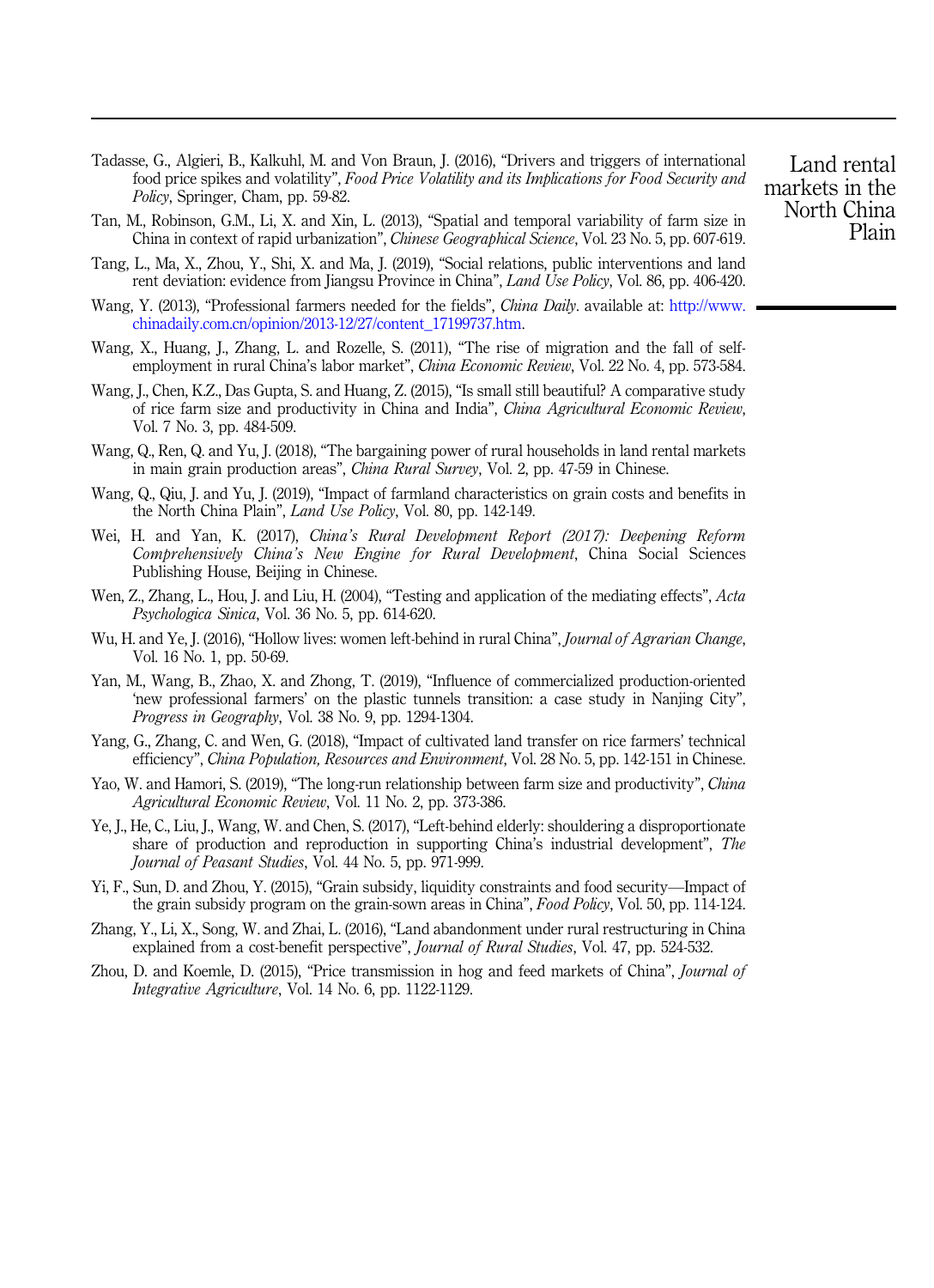- <span id="page-23-0"></span>Tadasse, G., Algieri, B., Kalkuhl, M. and Von Braun, J. (2016), "Drivers and triggers of international food price spikes and volatility", Food Price Volatility and its Implications for Food Security and Policy, Springer, Cham, pp. 59-82.
- Tan, M., Robinson, G.M., Li, X. and Xin, L. (2013), "Spatial and temporal variability of farm size in China in context of rapid urbanization", Chinese Geographical Science, Vol. 23 No. 5, pp. 607-619.
- Tang, L., Ma, X., Zhou, Y., Shi, X. and Ma, J. (2019), "Social relations, public interventions and land rent deviation: evidence from Jiangsu Province in China", Land Use Policy, Vol. 86, pp. 406-420.
- Wang, Y. (2013), "Professional farmers needed for the fields", *China Daily*, available at: [http://www.](http://www.chinadaily.com.cn/opinion/2013-12/27/content_17199737.htm) [chinadaily.com.cn/opinion/2013-12/27/content\\_17199737.htm.](http://www.chinadaily.com.cn/opinion/2013-12/27/content_17199737.htm)
- Wang, X., Huang, J., Zhang, L. and Rozelle, S. (2011), "The rise of migration and the fall of selfemployment in rural China's labor market", China Economic Review, Vol. 22 No. 4, pp. 573-584.
- Wang, J., Chen, K.Z., Das Gupta, S. and Huang, Z. (2015), "Is small still beautiful? A comparative study of rice farm size and productivity in China and India", China Agricultural Economic Review, Vol. 7 No. 3, pp. 484-509.
- Wang, Q., Ren, Q. and Yu, J. (2018), "The bargaining power of rural households in land rental markets in main grain production areas", China Rural Survey, Vol. 2, pp. 47-59 in Chinese.
- Wang, Q., Qiu, J. and Yu, J. (2019), "Impact of farmland characteristics on grain costs and benefits in the North China Plain", Land Use Policy, Vol. 80, pp. 142-149.
- Wei, H. and Yan, K. (2017), China's Rural Development Report (2017): Deepening Reform Comprehensively China's New Engine for Rural Development, China Social Sciences Publishing House, Beijing in Chinese.
- Wen, Z., Zhang, L., Hou, J. and Liu, H. (2004), "Testing and application of the mediating effects", Acta Psychologica Sinica, Vol. 36 No. 5, pp. 614-620.
- Wu, H. and Ye, J. (2016), "Hollow lives: women left-behind in rural China", Journal of Agrarian Change, Vol. 16 No. 1, pp. 50-69.
- Yan, M., Wang, B., Zhao, X. and Zhong, T. (2019), "Influence of commercialized production-oriented 'new professional farmers' on the plastic tunnels transition: a case study in Nanjing City", Progress in Geography, Vol. 38 No. 9, pp. 1294-1304.
- Yang, G., Zhang, C. and Wen, G. (2018), "Impact of cultivated land transfer on rice farmers' technical efficiency", China Population, Resources and Environment, Vol. 28 No. 5, pp. 142-151 in Chinese.
- Yao, W. and Hamori, S. (2019), "The long-run relationship between farm size and productivity", China Agricultural Economic Review, Vol. 11 No. 2, pp. 373-386.
- Ye, J., He, C., Liu, J., Wang, W. and Chen, S. (2017), "Left-behind elderly: shouldering a disproportionate share of production and reproduction in supporting China's industrial development", The Journal of Peasant Studies, Vol. 44 No. 5, pp. 971-999.
- Yi, F., Sun, D. and Zhou, Y. (2015), "Grain subsidy, liquidity constraints and food security—Impact of the grain subsidy program on the grain-sown areas in China", Food Policy, Vol. 50, pp. 114-124.
- Zhang, Y., Li, X., Song, W. and Zhai, L. (2016), "Land abandonment under rural restructuring in China explained from a cost-benefit perspective", Journal of Rural Studies, Vol. 47, pp. 524-532.
- Zhou, D. and Koemle, D. (2015), "Price transmission in hog and feed markets of China", Journal of Integrative Agriculture, Vol. 14 No. 6, pp. 1122-1129.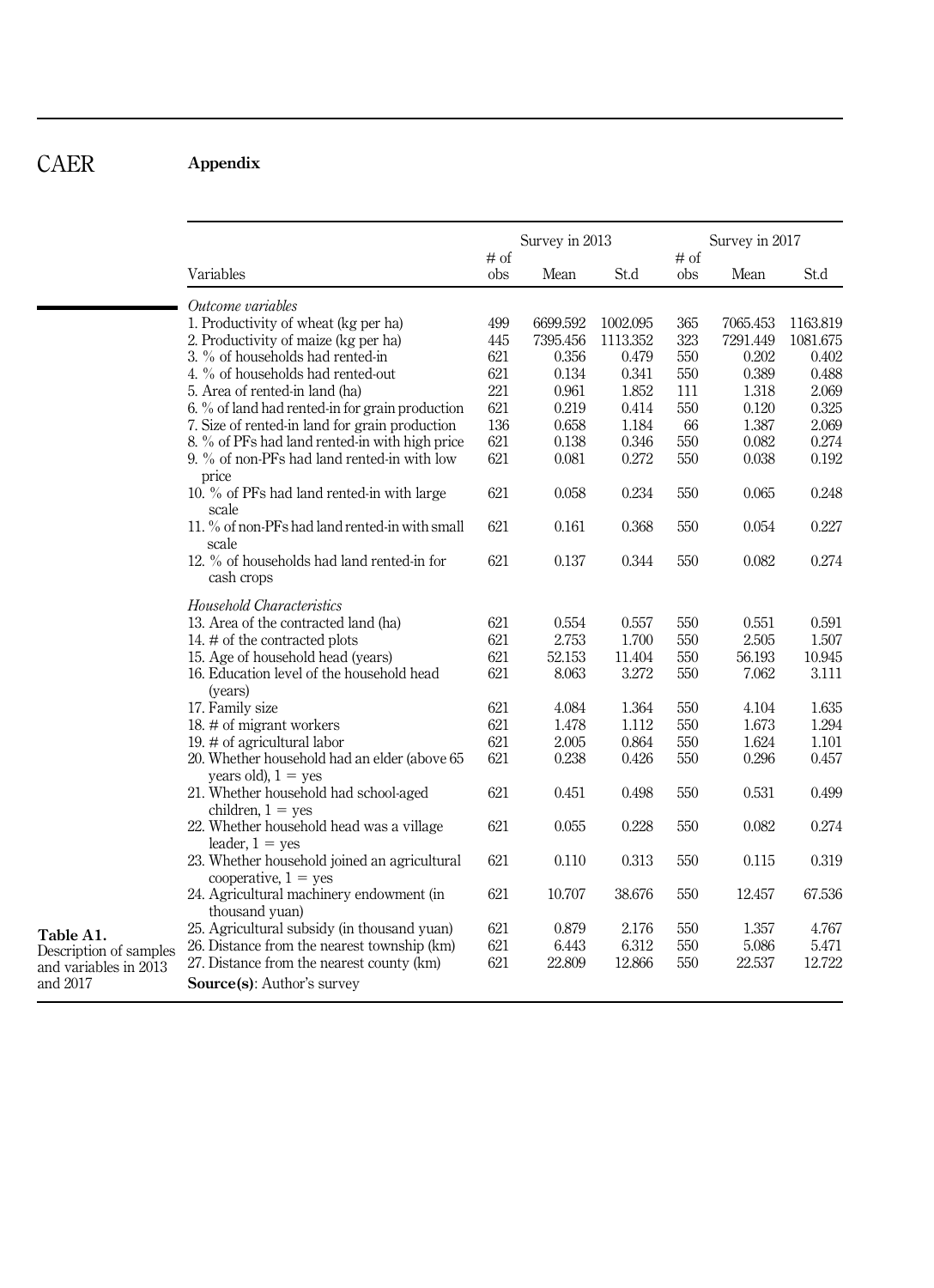# Appendix

|                        |                                                          | # of | Survey in 2013 |          | # of | Survey in 2017 |          |
|------------------------|----------------------------------------------------------|------|----------------|----------|------|----------------|----------|
|                        | Variables                                                | obs  | Mean           | St.d     | obs  | Mean           | St.d     |
|                        | Outcome variables                                        |      |                |          |      |                |          |
|                        | 1. Productivity of wheat (kg per ha)                     | 499  | 6699.592       | 1002.095 | 365  | 7065.453       | 1163.819 |
|                        | 2. Productivity of maize (kg per ha)                     | 445  | 7395.456       | 1113.352 | 323  | 7291.449       | 1081.675 |
|                        | 3. % of households had rented-in                         | 621  | 0.356          | 0.479    | 550  | 0.202          | 0.402    |
|                        | 4. % of households had rented-out                        | 621  | 0.134          | 0.341    | 550  | 0.389          | 0.488    |
|                        | 5. Area of rented-in land (ha)                           | 221  | 0.961          | 1.852    | 111  | 1.318          | 2.069    |
|                        | 6. % of land had rented-in for grain production          | 621  | 0.219          | 0.414    | 550  | 0.120          | 0.325    |
|                        | 7. Size of rented-in land for grain production           | 136  | 0.658          | 1.184    | 66   | 1.387          | 2.069    |
|                        | 8. % of PFs had land rented-in with high price           | 621  | 0.138          | 0.346    | 550  | 0.082          | 0.274    |
|                        | 9. % of non-PFs had land rented-in with low              | 621  | 0.081          | 0.272    | 550  | 0.038          | 0.192    |
|                        | price                                                    |      |                |          |      |                |          |
|                        | 10. % of PFs had land rented-in with large<br>scale      | 621  | 0.058          | 0.234    | 550  | 0.065          | 0.248    |
|                        | 11. % of non-PFs had land rented-in with small           | 621  | 0.161          | 0.368    | 550  | 0.054          | 0.227    |
|                        | scale                                                    |      |                |          |      |                |          |
|                        | 12. % of households had land rented-in for<br>cash crops | 621  | 0.137          | 0.344    | 550  | 0.082          | 0.274    |
|                        | Household Characteristics                                |      |                |          |      |                |          |
|                        | 13. Area of the contracted land (ha)                     | 621  | 0.554          | 0.557    | 550  | 0.551          | 0.591    |
|                        | 14. $\#$ of the contracted plots                         | 621  | 2.753          | 1.700    | 550  | 2.505          | 1.507    |
|                        | 15. Age of household head (years)                        | 621  | 52.153         | 11.404   | 550  | 56.193         | 10.945   |
|                        | 16. Education level of the household head                | 621  | 8.063          | 3.272    | 550  | 7.062          | 3.111    |
|                        | (years)                                                  |      |                |          |      |                |          |
|                        | 17. Family size                                          | 621  | 4.084          | 1.364    | 550  | 4.104          | 1.635    |
|                        | 18. # of migrant workers                                 | 621  | 1.478          | 1.112    | 550  | 1.673          | 1.294    |
|                        | 19. $\#$ of agricultural labor                           | 621  | 2.005          | 0.864    | 550  | 1.624          | 1.101    |
|                        | 20. Whether household had an elder (above 65             | 621  | 0.238          | 0.426    | 550  | 0.296          | 0.457    |
|                        | vears old), $1 = \text{ves}$                             |      |                |          |      |                |          |
|                        | 21. Whether household had school-aged                    | 621  | 0.451          | 0.498    | 550  | 0.531          | 0.499    |
|                        | children, $1 = \text{ves}$                               |      |                |          |      |                |          |
|                        | 22. Whether household head was a village                 | 621  | 0.055          | 0.228    | 550  | 0.082          | 0.274    |
|                        | leader, $1 = \text{ves}$                                 |      |                |          |      |                |          |
|                        | 23. Whether household joined an agricultural             | 621  | 0.110          | 0.313    | 550  | 0.115          | 0.319    |
|                        |                                                          |      |                |          |      |                |          |
|                        | cooperative, $1 = yes$                                   | 621  |                |          |      |                |          |
|                        | 24. Agricultural machinery endowment (in                 |      | 10.707         | 38.676   | 550  | 12.457         | 67.536   |
|                        | thousand yuan)                                           |      |                |          |      |                |          |
| Table A1.              | 25. Agricultural subsidy (in thousand yuan)              | 621  | 0.879          | 2.176    | 550  | 1.357          | 4.767    |
| Description of samples | 26. Distance from the nearest township (km)              | 621  | 6.443          | 6.312    | 550  | 5.086          | 5.471    |
| and variables in 2013  | 27. Distance from the nearest county (km)                | 621  | 22.809         | 12.866   | 550  | 22.537         | 12.722   |
| and 2017               | Source(s): Author's survey                               |      |                |          |      |                |          |

<span id="page-24-0"></span>CAER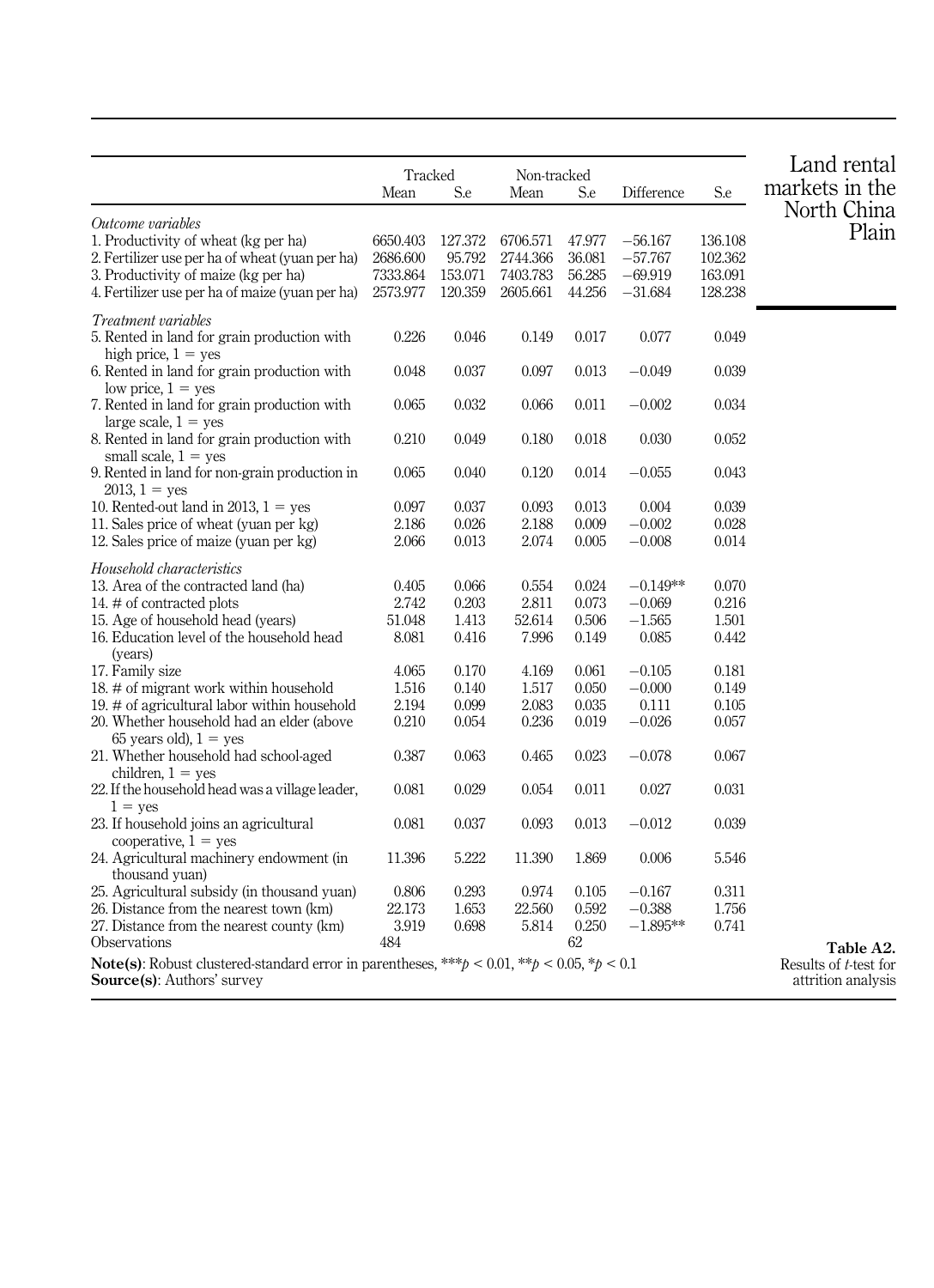<span id="page-25-0"></span>

|                                                                                                                                                   | Tracked<br>Mean | S.e       | Non-tracked<br>Mean | S.e    | Difference | S.e     | Land rental<br>markets in the                       |
|---------------------------------------------------------------------------------------------------------------------------------------------------|-----------------|-----------|---------------------|--------|------------|---------|-----------------------------------------------------|
|                                                                                                                                                   |                 |           |                     |        |            |         | North China                                         |
| Outcome variables                                                                                                                                 |                 |           |                     |        |            |         | Plain                                               |
| 1. Productivity of wheat (kg per ha)                                                                                                              | 6650.403        | 127.372   | 6706.571            | 47.977 | $-56,167$  | 136.108 |                                                     |
| 2. Fertilizer use per ha of wheat (yuan per ha)                                                                                                   | 2686.600        | 95.792    | 2744.366            | 36.081 | $-57.767$  | 102.362 |                                                     |
| 3. Productivity of maize (kg per ha)                                                                                                              | 7333.864        | 153.071   | 7403.783            | 56.285 | $-69.919$  | 163.091 |                                                     |
| 4. Fertilizer use per ha of maize (yuan per ha)                                                                                                   | 2573.977        | 120.359   | 2605.661            | 44.256 | $-31.684$  | 128.238 |                                                     |
| Treatment variables                                                                                                                               |                 |           |                     |        |            |         |                                                     |
| 5. Rented in land for grain production with                                                                                                       | 0.226           | 0.046     | 0.149               | 0.017  | 0.077      | 0.049   |                                                     |
| high price, $1 = yes$                                                                                                                             |                 |           |                     |        |            |         |                                                     |
| 6. Rented in land for grain production with<br>low price, $1 = yes$                                                                               | 0.048           | 0.037     | 0.097               | 0.013  | $-0.049$   | 0.039   |                                                     |
| 7. Rented in land for grain production with                                                                                                       | 0.065           | 0.032     | 0.066               | 0.011  | $-0.002$   | 0.034   |                                                     |
| large scale, $1 = yes$                                                                                                                            |                 |           |                     |        |            |         |                                                     |
| 8. Rented in land for grain production with<br>small scale, $1 = yes$                                                                             | 0.210           | 0.049     | 0.180               | 0.018  | 0.030      | 0.052   |                                                     |
| 9. Rented in land for non-grain production in                                                                                                     | 0.065           | 0.040     | 0.120               | 0.014  | $-0.055$   | 0.043   |                                                     |
| $2013$ , $1 = \text{ves}$                                                                                                                         |                 |           |                     |        |            |         |                                                     |
| 10. Rented-out land in 2013, $1 = yes$                                                                                                            | 0.097           | 0.037     | 0.093               | 0.013  | 0.004      | 0.039   |                                                     |
| 11. Sales price of wheat (yuan per kg)                                                                                                            | 2.186           | 0.026     | 2.188               | 0.009  | $-0.002$   | 0.028   |                                                     |
| 12. Sales price of maize (yuan per kg)                                                                                                            | 2.066           | 0.013     | 2.074               | 0.005  | $-0.008$   | 0.014   |                                                     |
| Household characteristics                                                                                                                         |                 |           |                     |        |            |         |                                                     |
| 13. Area of the contracted land (ha)                                                                                                              | 0.405           | 0.066     | 0.554               | 0.024  | $-0.149**$ | 0.070   |                                                     |
| 14. # of contracted plots                                                                                                                         | 2.742           | 0.203     | 2.811               | 0.073  | $-0.069$   | 0.216   |                                                     |
| 15. Age of household head (years)                                                                                                                 | 51.048          | 1.413     | 52.614              | 0.506  | $-1.565$   | 1.501   |                                                     |
| 16. Education level of the household head                                                                                                         | 8.081           | 0.416     | 7.996               | 0.149  | 0.085      | 0.442   |                                                     |
| (years)                                                                                                                                           |                 |           |                     |        |            |         |                                                     |
| 17. Family size                                                                                                                                   | 4.065           | $0.170\,$ | 4.169               | 0.061  | $-0.105$   | 0.181   |                                                     |
| 18. # of migrant work within household                                                                                                            | 1.516           | 0.140     | 1.517               | 0.050  | $-0.000$   | 0.149   |                                                     |
| 19. # of agricultural labor within household                                                                                                      | 2.194           | 0.099     | 2.083               | 0.035  | 0.111      | 0.105   |                                                     |
| 20. Whether household had an elder (above<br>65 years old), $1 = \text{ves}$                                                                      | 0.210           | 0.054     | 0.236               | 0.019  | $-0.026$   | 0.057   |                                                     |
| 21. Whether household had school-aged                                                                                                             | 0.387           | 0.063     | 0.465               | 0.023  | $-0.078$   | 0.067   |                                                     |
| children, $1 = yes$                                                                                                                               |                 |           |                     |        |            |         |                                                     |
| 22. If the household head was a village leader,<br>$1 = yes$                                                                                      | 0.081           | 0.029     | 0.054               | 0.011  | 0.027      | 0.031   |                                                     |
| 23. If household joins an agricultural                                                                                                            | 0.081           | 0.037     | 0.093               | 0.013  | $-0.012$   | 0.039   |                                                     |
| cooperative, $1 = yes$                                                                                                                            |                 |           |                     |        |            |         |                                                     |
| 24. Agricultural machinery endowment (in                                                                                                          | 11.396          | 5.222     | 11.390              | 1.869  | 0.006      | 5.546   |                                                     |
| thousand yuan)                                                                                                                                    |                 |           |                     |        |            |         |                                                     |
| 25. Agricultural subsidy (in thousand yuan)                                                                                                       | 0.806           | 0.293     | 0.974               | 0.105  | $-0.167$   | 0.311   |                                                     |
| 26. Distance from the nearest town (km)                                                                                                           | 22.173          | 1.653     | 22.560              | 0.592  | $-0.388$   | 1.756   |                                                     |
| 27. Distance from the nearest county (km)                                                                                                         | 3.919           | 0.698     | 5.814               | 0.250  | $-1.895**$ | 0.741   |                                                     |
| Observations                                                                                                                                      | 484             |           |                     | 62     |            |         | Table A2.                                           |
| <b>Note(s):</b> Robust clustered-standard error in parentheses, *** $p < 0.01$ , ** $p < 0.05$ , * $p < 0.1$<br><b>Source(s):</b> Authors' survey |                 |           |                     |        |            |         | Results of <i>t</i> -test for<br>attrition analysis |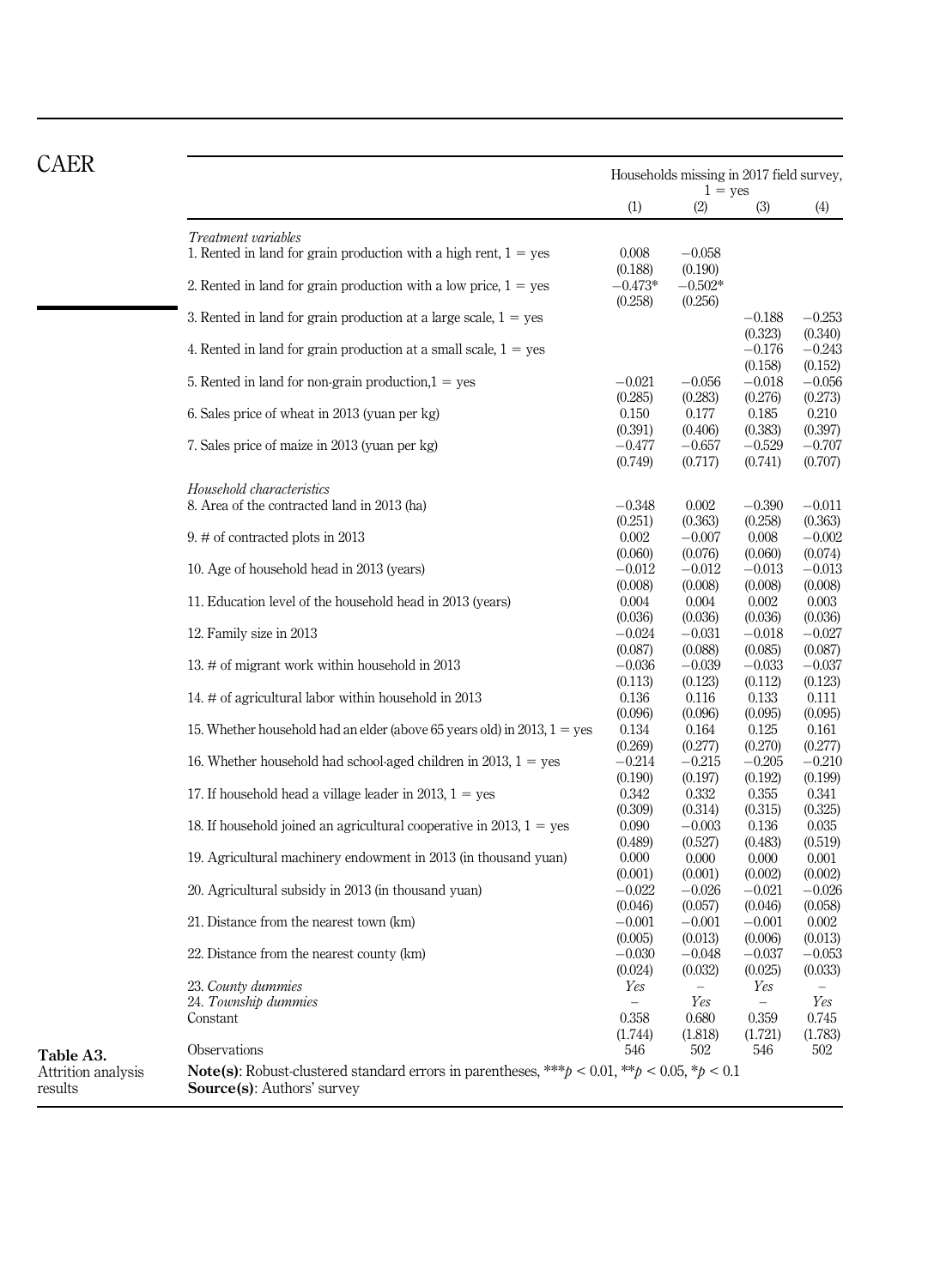Table A3. Attrition analysis results

<span id="page-26-0"></span>

|                                                                                                               |                  | $1 = yes$        | Households missing in 2017 field survey, |                     |
|---------------------------------------------------------------------------------------------------------------|------------------|------------------|------------------------------------------|---------------------|
|                                                                                                               | (1)              | (2)              | (3)                                      |                     |
| Treatment variables                                                                                           |                  |                  |                                          |                     |
| 1. Rented in land for grain production with a high rent, $1 = yes$                                            | 0.008            | $-0.058$         |                                          |                     |
|                                                                                                               | (0.188)          | (0.190)          |                                          |                     |
| 2. Rented in land for grain production with a low price, $1 = yes$                                            | $-0.473*$        | $-0.502*$        |                                          |                     |
|                                                                                                               | (0.258)          | (0.256)          |                                          |                     |
| 3. Rented in land for grain production at a large scale, $1 =$ yes                                            |                  |                  | $-0.188$<br>(0.323)                      | $-0.253$<br>(0.340) |
| 4. Rented in land for grain production at a small scale, $1 = yes$                                            |                  |                  | $-0.176$                                 | $-0.243$            |
|                                                                                                               |                  |                  | (0.158)                                  | (0.152)             |
| 5. Rented in land for non-grain production, $1 = yes$                                                         | $-0.021$         | $-0.056$         | $-0.018$                                 | $-0.056$            |
|                                                                                                               | (0.285)          | (0.283)          | (0.276)                                  | (0.273)             |
| 6. Sales price of wheat in 2013 (yuan per kg)                                                                 | 0.150            | 0.177            | 0.185                                    |                     |
|                                                                                                               | (0.391)          | (0.406)          | (0.383)                                  | (0.397)             |
| 7. Sales price of maize in 2013 (yuan per kg)                                                                 | $-0.477$         | $-0.657$         | $-0.529$                                 | $-0.707$            |
|                                                                                                               | (0.749)          | (0.717)          | (0.741)                                  | (0.707)             |
| Household characteristics                                                                                     |                  |                  |                                          |                     |
| 8. Area of the contracted land in 2013 (ha)                                                                   | $-0.348$         | 0.002            | $-0.390$                                 | $-0.011$            |
|                                                                                                               | (0.251)          | (0.363)          | (0.258)                                  | (0.363)             |
| $9. \#$ of contracted plots in 2013                                                                           | 0.002            | $-0.007$         | 0.008                                    | $-0.002$            |
|                                                                                                               | (0.060)          | (0.076)          | (0.060)                                  | (0.074)             |
| 10. Age of household head in 2013 (years)                                                                     | $-0.012$         | $-0.012$         | $-0.013$                                 | $-0.013$            |
|                                                                                                               | (0.008)          | (0.008)          | (0.008)                                  | (0.008)             |
| 11. Education level of the household head in 2013 (years)                                                     | 0.004<br>(0.036) | 0.004<br>(0.036) | 0.002<br>(0.036)                         |                     |
| 12. Family size in 2013                                                                                       | $-0.024$         | $-0.031$         | $-0.018$                                 | (0.036)<br>$-0.027$ |
|                                                                                                               | (0.087)          | (0.088)          | (0.085)                                  | (0.087)             |
| 13. # of migrant work within household in 2013                                                                | $-0.036$         | $-0.039$         | $-0.033$                                 | $-0.037$            |
|                                                                                                               | (0.113)          | (0.123)          | (0.112)                                  | (0.123)             |
| 14. $\#$ of agricultural labor within household in 2013                                                       | 0.136            | 0.116            | 0.133                                    |                     |
|                                                                                                               | (0.096)          | (0.096)          | (0.095)                                  | (0.095)             |
| 15. Whether household had an elder (above 65 years old) in $2013$ , $1 = yes$                                 | 0.134            | 0.164            | 0.125                                    |                     |
|                                                                                                               | (0.269)          | (0.277)          | (0.270)                                  | (0.277)             |
| 16. Whether household had school-aged children in 2013, $1 = yes$                                             | $-0.214$         | $-0.215$         | $-0.205$                                 | $-0.210$            |
| 17. If household head a village leader in 2013, $1 = yes$                                                     | (0.190)<br>0.342 | (0.197)<br>0.332 | (0.192)<br>0.355                         | (0.199)             |
|                                                                                                               | (0.309)          | (0.314)          | (0.315)                                  |                     |
| 18. If household joined an agricultural cooperative in 2013, $1 = yes$                                        | 0.090            | $-0.003$         | 0.136                                    |                     |
|                                                                                                               | (0.489)          | (0.527)          | (0.483)                                  |                     |
| 19. Agricultural machinery endowment in 2013 (in thousand yuan)                                               | 0.000            | 0.000            | 0.000                                    |                     |
|                                                                                                               | (0.001)          | (0.001)          | (0.002)                                  | (0.002)             |
| 20. Agricultural subsidy in 2013 (in thousand yuan)                                                           | $-0.022$         | $-0.026$         | $-0.021$                                 | $-0.026$            |
|                                                                                                               | (0.046)          | (0.057)          | (0.046)                                  | (0.058)             |
| 21. Distance from the nearest town (km)                                                                       | $-0.001$         | $-0.001$         | $-0.001$                                 |                     |
|                                                                                                               | (0.005)          | (0.013)          | (0.006)                                  | (0.013)             |
| 22. Distance from the nearest county (km)                                                                     | $-0.030$         | $-0.048$         | $-0.037$                                 | $-0.053$            |
| 23. County dummies                                                                                            | (0.024)<br>Yes   | (0.032)          | (0.025)<br>Yes                           | (0.033)             |
| 24. Township dummies                                                                                          |                  | Yes              |                                          |                     |
| Constant                                                                                                      | 0.358            | 0.680            | 0.359                                    |                     |
|                                                                                                               | (1.744)          | (1.818)          | (1.721)                                  | (1.783)             |
| Observations                                                                                                  | 546              | 502              | 546                                      |                     |
| <b>Note(s):</b> Robust-clustered standard errors in parentheses, *** $p < 0.01$ , ** $p < 0.05$ , * $p < 0.1$ |                  |                  |                                          |                     |